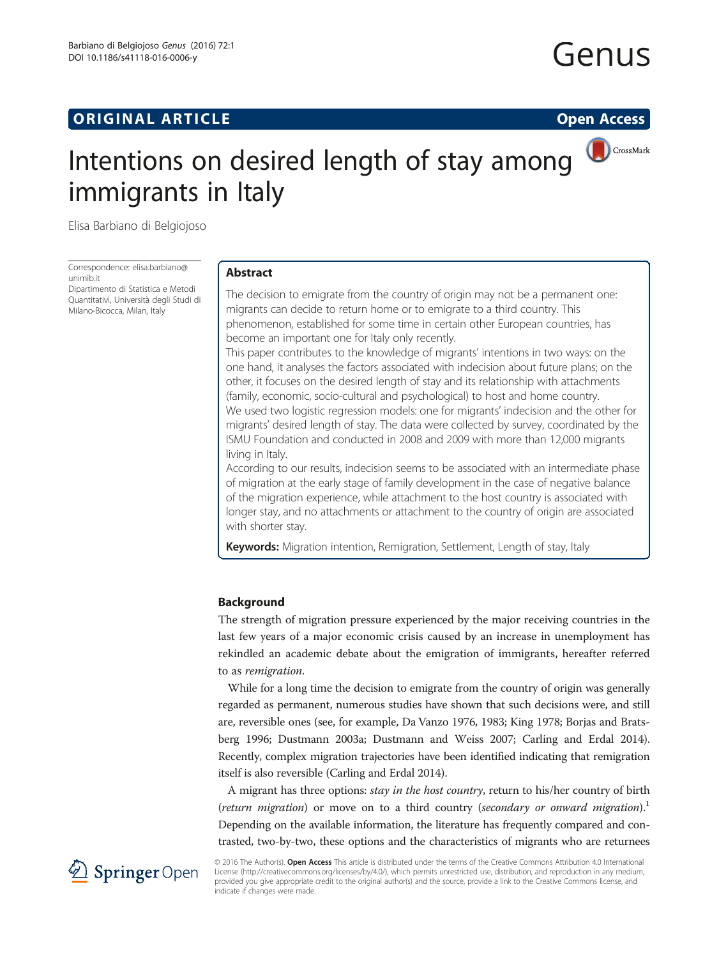## <span id="page-0-0"></span>**ORIGINAL ARTICLE CONSERVANCE IN A LOCAL CONSERVANCE IN A LOCAL CONSERVANCE IN A LOCAL CONSERVANCE IN A LOCAL CONSERVANCE IN A LOCAL CONSERVANCE IN A LOCAL CONSERVANCE IN A LOCAL CONSERVANCE IN A LOCAL CONSERVANCE IN A L**

CrossMark

# Intentions on desired length of stay among immigrants in Italy

Elisa Barbiano di Belgiojoso

Correspondence: [elisa.barbiano@](mailto:elisa.barbiano@unimib.it) [unimib.it](mailto:elisa.barbiano@unimib.it)

Dipartimento di Statistica e Metodi Quantitativi, Università degli Studi di Milano-Bicocca, Milan, Italy

## Abstract

The decision to emigrate from the country of origin may not be a permanent one: migrants can decide to return home or to emigrate to a third country. This phenomenon, established for some time in certain other European countries, has become an important one for Italy only recently.

This paper contributes to the knowledge of migrants' intentions in two ways: on the one hand, it analyses the factors associated with indecision about future plans; on the other, it focuses on the desired length of stay and its relationship with attachments (family, economic, socio-cultural and psychological) to host and home country. We used two logistic regression models: one for migrants' indecision and the other for migrants' desired length of stay. The data were collected by survey, coordinated by the ISMU Foundation and conducted in 2008 and 2009 with more than 12,000 migrants living in Italy.

According to our results, indecision seems to be associated with an intermediate phase of migration at the early stage of family development in the case of negative balance of the migration experience, while attachment to the host country is associated with longer stay, and no attachments or attachment to the country of origin are associated with shorter stay.

Keywords: Migration intention, Remigration, Settlement, Length of stay, Italy

## Background

The strength of migration pressure experienced by the major receiving countries in the last few years of a major economic crisis caused by an increase in unemployment has rekindled an academic debate about the emigration of immigrants, hereafter referred to as remigration.

While for a long time the decision to emigrate from the country of origin was generally regarded as permanent, numerous studies have shown that such decisions were, and still are, reversible ones (see, for example, Da Vanzo [1976, 1983;](#page-19-0) King [1978;](#page-20-0) Borjas and Bratsberg [1996;](#page-19-0) Dustmann [2003a](#page-19-0); Dustmann and Weiss [2007](#page-19-0); Carling and Erdal [2014](#page-19-0)). Recently, complex migration trajectories have been identified indicating that remigration itself is also reversible (Carling and Erdal [2014](#page-19-0)).

A migrant has three options: stay in the host country, return to his/her country of birth (return migration) or move on to a third country (secondary or onward migration).<sup>1</sup> Depending on the available information, the literature has frequently compared and contrasted, two-by-two, these options and the characteristics of migrants who are returnees



© 2016 The Author(s). Open Access This article is distributed under the terms of the Creative Commons Attribution 4.0 International License [\(http://creativecommons.org/licenses/by/4.0/](http://creativecommons.org/licenses/by/4.0/)), which permits unrestricted use, distribution, and reproduction in any medium, provided you give appropriate credit to the original author(s) and the source, provide a link to the Creative Commons license, and indicate if changes were made.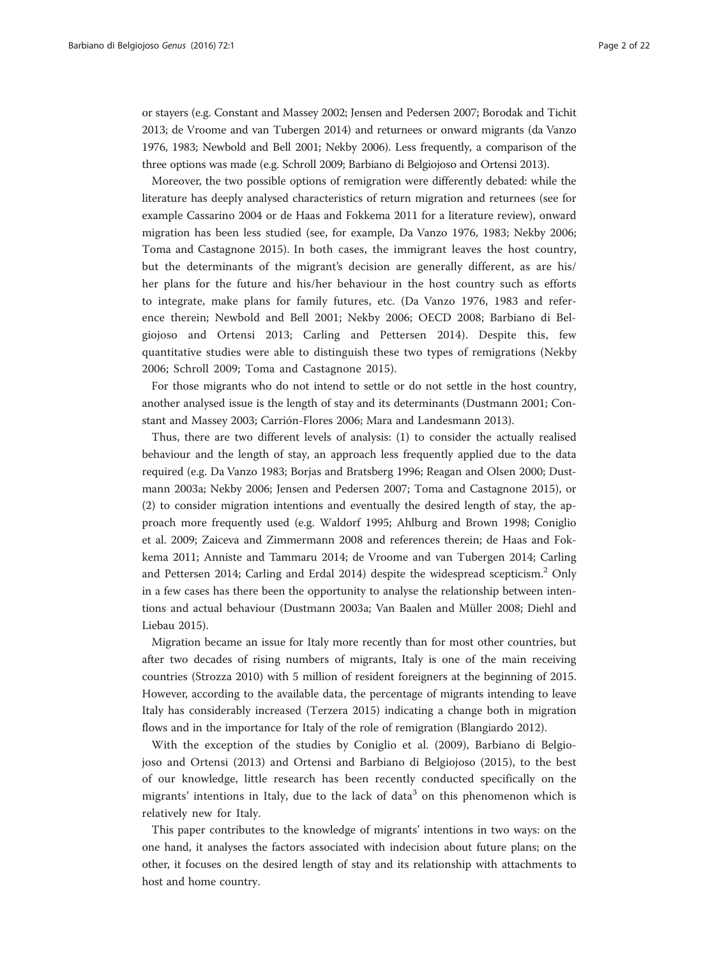or stayers (e.g. Constant and Massey [2002;](#page-19-0) Jensen and Pedersen [2007;](#page-20-0) Borodak and Tichit [2013;](#page-19-0) de Vroome and van Tubergen [2014\)](#page-19-0) and returnees or onward migrants (da Vanzo [1976, 1983;](#page-19-0) Newbold and Bell [2001](#page-20-0); Nekby [2006\)](#page-20-0). Less frequently, a comparison of the three options was made (e.g. Schroll [2009;](#page-20-0) Barbiano di Belgiojoso and Ortensi [2013](#page-19-0)).

Moreover, the two possible options of remigration were differently debated: while the literature has deeply analysed characteristics of return migration and returnees (see for example Cassarino [2004](#page-19-0) or de Haas and Fokkema [2011](#page-19-0) for a literature review), onward migration has been less studied (see, for example, Da Vanzo [1976](#page-19-0), [1983;](#page-19-0) Nekby [2006](#page-20-0); Toma and Castagnone [2015\)](#page-21-0). In both cases, the immigrant leaves the host country, but the determinants of the migrant's decision are generally different, as are his/ her plans for the future and his/her behaviour in the host country such as efforts to integrate, make plans for family futures, etc. (Da Vanzo [1976](#page-19-0), [1983](#page-19-0) and reference therein; Newbold and Bell [2001;](#page-20-0) Nekby [2006;](#page-20-0) OECD [2008;](#page-20-0) Barbiano di Belgiojoso and Ortensi [2013](#page-19-0); Carling and Pettersen [2014](#page-19-0)). Despite this, few quantitative studies were able to distinguish these two types of remigrations (Nekby [2006;](#page-20-0) Schroll [2009](#page-20-0); Toma and Castagnone [2015](#page-21-0)).

For those migrants who do not intend to settle or do not settle in the host country, another analysed issue is the length of stay and its determinants (Dustmann [2001;](#page-19-0) Constant and Massey [2003;](#page-19-0) Carrión-Flores [2006](#page-19-0); Mara and Landesmann [2013\)](#page-20-0).

Thus, there are two different levels of analysis: (1) to consider the actually realised behaviour and the length of stay, an approach less frequently applied due to the data required (e.g. Da Vanzo [1983;](#page-19-0) Borjas and Bratsberg [1996](#page-19-0); Reagan and Olsen [2000;](#page-20-0) Dustmann [2003a;](#page-19-0) Nekby [2006;](#page-20-0) Jensen and Pedersen [2007;](#page-20-0) Toma and Castagnone [2015](#page-21-0)), or (2) to consider migration intentions and eventually the desired length of stay, the approach more frequently used (e.g. Waldorf [1995](#page-21-0); Ahlburg and Brown [1998;](#page-18-0) Coniglio et al. [2009](#page-19-0); Zaiceva and Zimmermann [2008](#page-21-0) and references therein; de Haas and Fokkema [2011;](#page-19-0) Anniste and Tammaru [2014](#page-18-0); de Vroome and van Tubergen [2014;](#page-19-0) Carling and Pettersen [2014;](#page-19-0) Carling and Erdal [2014](#page-19-0)) despite the widespread scepticism.<sup>2</sup> Only in a few cases has there been the opportunity to analyse the relationship between intentions and actual behaviour (Dustmann [2003a;](#page-19-0) Van Baalen and Müller [2008](#page-21-0); Diehl and Liebau [2015\)](#page-19-0).

Migration became an issue for Italy more recently than for most other countries, but after two decades of rising numbers of migrants, Italy is one of the main receiving countries (Strozza [2010\)](#page-20-0) with 5 million of resident foreigners at the beginning of 2015. However, according to the available data, the percentage of migrants intending to leave Italy has considerably increased (Terzera [2015\)](#page-20-0) indicating a change both in migration flows and in the importance for Italy of the role of remigration (Blangiardo [2012\)](#page-19-0).

With the exception of the studies by Coniglio et al. [\(2009](#page-19-0)), Barbiano di Belgiojoso and Ortensi ([2013\)](#page-19-0) and Ortensi and Barbiano di Belgiojoso [\(2015\)](#page-20-0), to the best of our knowledge, little research has been recently conducted specifically on the migrants' intentions in Italy, due to the lack of data<sup>3</sup> on this phenomenon which is relatively new for Italy.

This paper contributes to the knowledge of migrants' intentions in two ways: on the one hand, it analyses the factors associated with indecision about future plans; on the other, it focuses on the desired length of stay and its relationship with attachments to host and home country.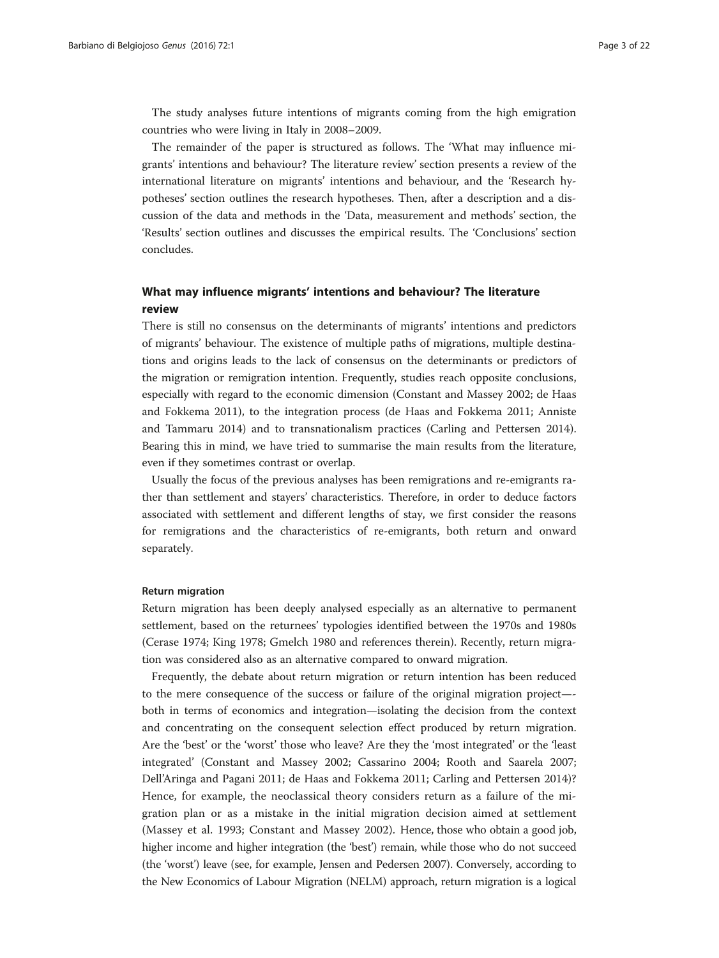The study analyses future intentions of migrants coming from the high emigration countries who were living in Italy in 2008–2009.

The remainder of the paper is structured as follows. The 'What may influence migrants' intentions and behaviour? The literature review' section presents a review of the international literature on migrants' intentions and behaviour, and the '[Research hy](#page-6-0)[potheses](#page-6-0)' section outlines the research hypotheses. Then, after a description and a discussion of the data and methods in the '[Data, measurement and methods](#page-7-0)' section, the '[Results](#page-11-0)' section outlines and discusses the empirical results. The '[Conclusions](#page-17-0)' section concludes.

## What may influence migrants' intentions and behaviour? The literature review

There is still no consensus on the determinants of migrants' intentions and predictors of migrants' behaviour. The existence of multiple paths of migrations, multiple destinations and origins leads to the lack of consensus on the determinants or predictors of the migration or remigration intention. Frequently, studies reach opposite conclusions, especially with regard to the economic dimension (Constant and Massey [2002](#page-19-0); de Haas and Fokkema [2011](#page-19-0)), to the integration process (de Haas and Fokkema [2011;](#page-19-0) Anniste and Tammaru [2014\)](#page-18-0) and to transnationalism practices (Carling and Pettersen [2014](#page-19-0)). Bearing this in mind, we have tried to summarise the main results from the literature, even if they sometimes contrast or overlap.

Usually the focus of the previous analyses has been remigrations and re-emigrants rather than settlement and stayers' characteristics. Therefore, in order to deduce factors associated with settlement and different lengths of stay, we first consider the reasons for remigrations and the characteristics of re-emigrants, both return and onward separately.

#### Return migration

Return migration has been deeply analysed especially as an alternative to permanent settlement, based on the returnees' typologies identified between the 1970s and 1980s (Cerase [1974;](#page-19-0) King [1978](#page-20-0); Gmelch [1980](#page-20-0) and references therein). Recently, return migration was considered also as an alternative compared to onward migration.

Frequently, the debate about return migration or return intention has been reduced to the mere consequence of the success or failure of the original migration project— both in terms of economics and integration—isolating the decision from the context and concentrating on the consequent selection effect produced by return migration. Are the 'best' or the 'worst' those who leave? Are they the 'most integrated' or the 'least integrated' (Constant and Massey [2002;](#page-19-0) Cassarino [2004;](#page-19-0) Rooth and Saarela [2007](#page-20-0); Dell'Aringa and Pagani [2011](#page-19-0); de Haas and Fokkema [2011](#page-19-0); Carling and Pettersen [2014\)](#page-19-0)? Hence, for example, the neoclassical theory considers return as a failure of the migration plan or as a mistake in the initial migration decision aimed at settlement (Massey et al. [1993](#page-20-0); Constant and Massey [2002](#page-19-0)). Hence, those who obtain a good job, higher income and higher integration (the 'best') remain, while those who do not succeed (the 'worst') leave (see, for example, Jensen and Pedersen [2007\)](#page-20-0). Conversely, according to the New Economics of Labour Migration (NELM) approach, return migration is a logical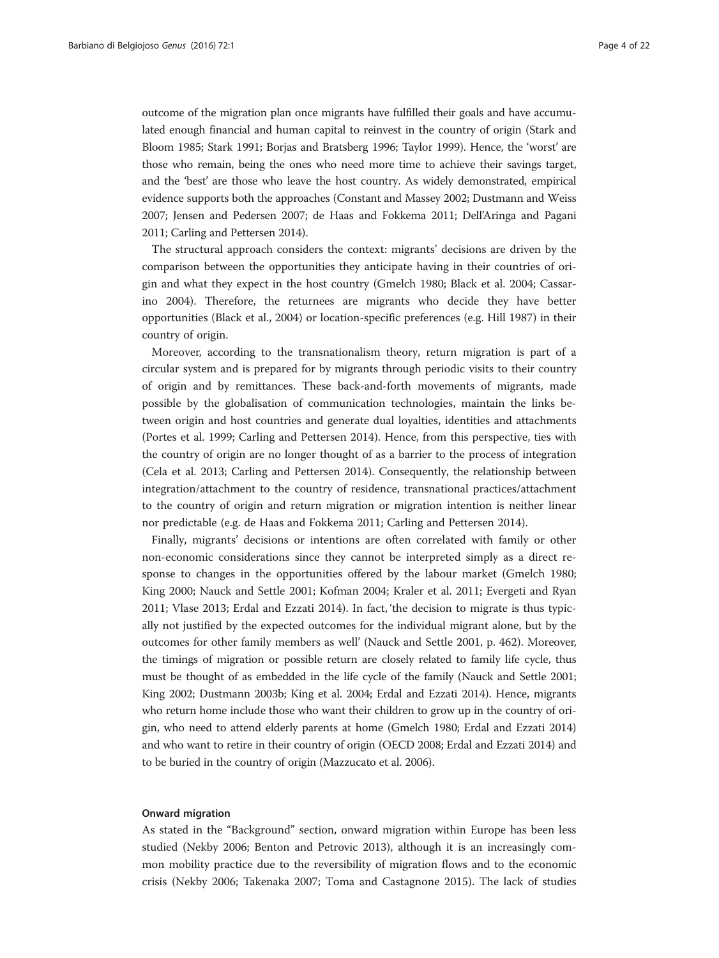outcome of the migration plan once migrants have fulfilled their goals and have accumulated enough financial and human capital to reinvest in the country of origin (Stark and Bloom [1985;](#page-20-0) Stark [1991](#page-20-0); Borjas and Bratsberg [1996;](#page-19-0) Taylor [1999\)](#page-20-0). Hence, the 'worst' are those who remain, being the ones who need more time to achieve their savings target, and the 'best' are those who leave the host country. As widely demonstrated, empirical evidence supports both the approaches (Constant and Massey [2002;](#page-19-0) Dustmann and Weiss [2007;](#page-19-0) Jensen and Pedersen [2007;](#page-20-0) de Haas and Fokkema [2011;](#page-19-0) Dell'Aringa and Pagani [2011;](#page-19-0) Carling and Pettersen [2014](#page-19-0)).

The structural approach considers the context: migrants' decisions are driven by the comparison between the opportunities they anticipate having in their countries of origin and what they expect in the host country (Gmelch [1980;](#page-20-0) Black et al. [2004;](#page-19-0) Cassarino [2004](#page-19-0)). Therefore, the returnees are migrants who decide they have better opportunities (Black et al., [2004\)](#page-19-0) or location-specific preferences (e.g. Hill [1987\)](#page-20-0) in their country of origin.

Moreover, according to the transnationalism theory, return migration is part of a circular system and is prepared for by migrants through periodic visits to their country of origin and by remittances. These back-and-forth movements of migrants, made possible by the globalisation of communication technologies, maintain the links between origin and host countries and generate dual loyalties, identities and attachments (Portes et al. [1999](#page-20-0); Carling and Pettersen [2014](#page-19-0)). Hence, from this perspective, ties with the country of origin are no longer thought of as a barrier to the process of integration (Cela et al. [2013;](#page-19-0) Carling and Pettersen [2014](#page-19-0)). Consequently, the relationship between integration/attachment to the country of residence, transnational practices/attachment to the country of origin and return migration or migration intention is neither linear nor predictable (e.g. de Haas and Fokkema [2011;](#page-19-0) Carling and Pettersen [2014](#page-19-0)).

Finally, migrants' decisions or intentions are often correlated with family or other non-economic considerations since they cannot be interpreted simply as a direct response to changes in the opportunities offered by the labour market (Gmelch [1980](#page-20-0); King [2000;](#page-20-0) Nauck and Settle [2001](#page-20-0); Kofman [2004](#page-20-0); Kraler et al. [2011](#page-20-0); Evergeti and Ryan [2011](#page-20-0); Vlase [2013;](#page-21-0) Erdal and Ezzati [2014](#page-19-0)). In fact, 'the decision to migrate is thus typically not justified by the expected outcomes for the individual migrant alone, but by the outcomes for other family members as well' (Nauck and Settle [2001,](#page-20-0) p. 462). Moreover, the timings of migration or possible return are closely related to family life cycle, thus must be thought of as embedded in the life cycle of the family (Nauck and Settle [2001](#page-20-0); King [2002](#page-20-0); Dustmann [2003b](#page-19-0); King et al. [2004](#page-20-0); Erdal and Ezzati [2014](#page-19-0)). Hence, migrants who return home include those who want their children to grow up in the country of origin, who need to attend elderly parents at home (Gmelch [1980;](#page-20-0) Erdal and Ezzati [2014](#page-19-0)) and who want to retire in their country of origin (OECD [2008](#page-20-0); Erdal and Ezzati [2014](#page-19-0)) and to be buried in the country of origin (Mazzucato et al. [2006\)](#page-20-0).

#### Onward migration

As stated in the "[Background](#page-0-0)" section, onward migration within Europe has been less studied (Nekby [2006;](#page-20-0) Benton and Petrovic [2013](#page-19-0)), although it is an increasingly common mobility practice due to the reversibility of migration flows and to the economic crisis (Nekby [2006](#page-20-0); Takenaka [2007;](#page-20-0) Toma and Castagnone [2015\)](#page-21-0). The lack of studies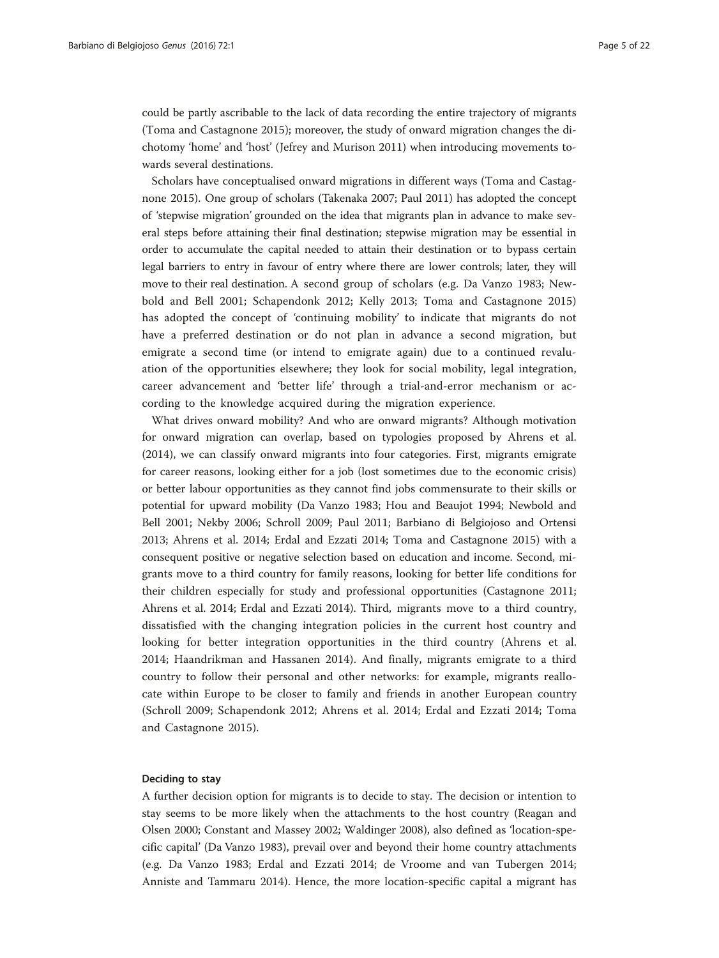could be partly ascribable to the lack of data recording the entire trajectory of migrants (Toma and Castagnone [2015\)](#page-21-0); moreover, the study of onward migration changes the dichotomy 'home' and 'host' (Jefrey and Murison [2011\)](#page-20-0) when introducing movements towards several destinations.

Scholars have conceptualised onward migrations in different ways (Toma and Castagnone [2015](#page-21-0)). One group of scholars (Takenaka [2007;](#page-20-0) Paul [2011](#page-20-0)) has adopted the concept of 'stepwise migration' grounded on the idea that migrants plan in advance to make several steps before attaining their final destination; stepwise migration may be essential in order to accumulate the capital needed to attain their destination or to bypass certain legal barriers to entry in favour of entry where there are lower controls; later, they will move to their real destination. A second group of scholars (e.g. Da Vanzo [1983;](#page-19-0) Newbold and Bell [2001](#page-20-0); Schapendonk [2012](#page-20-0); Kelly [2013;](#page-20-0) Toma and Castagnone [2015](#page-21-0)) has adopted the concept of 'continuing mobility' to indicate that migrants do not have a preferred destination or do not plan in advance a second migration, but emigrate a second time (or intend to emigrate again) due to a continued revaluation of the opportunities elsewhere; they look for social mobility, legal integration, career advancement and 'better life' through a trial-and-error mechanism or according to the knowledge acquired during the migration experience.

What drives onward mobility? And who are onward migrants? Although motivation for onward migration can overlap, based on typologies proposed by Ahrens et al. ([2014](#page-18-0)), we can classify onward migrants into four categories. First, migrants emigrate for career reasons, looking either for a job (lost sometimes due to the economic crisis) or better labour opportunities as they cannot find jobs commensurate to their skills or potential for upward mobility (Da Vanzo [1983](#page-19-0); Hou and Beaujot [1994](#page-20-0); Newbold and Bell [2001](#page-20-0); Nekby [2006;](#page-20-0) Schroll [2009](#page-20-0); Paul [2011;](#page-20-0) Barbiano di Belgiojoso and Ortensi [2013](#page-19-0); Ahrens et al. [2014](#page-18-0); Erdal and Ezzati [2014;](#page-19-0) Toma and Castagnone [2015](#page-21-0)) with a consequent positive or negative selection based on education and income. Second, migrants move to a third country for family reasons, looking for better life conditions for their children especially for study and professional opportunities (Castagnone [2011](#page-19-0); Ahrens et al. [2014;](#page-18-0) Erdal and Ezzati [2014\)](#page-19-0). Third, migrants move to a third country, dissatisfied with the changing integration policies in the current host country and looking for better integration opportunities in the third country (Ahrens et al. [2014;](#page-18-0) Haandrikman and Hassanen [2014\)](#page-20-0). And finally, migrants emigrate to a third country to follow their personal and other networks: for example, migrants reallocate within Europe to be closer to family and friends in another European country (Schroll [2009](#page-20-0); Schapendonk [2012;](#page-20-0) Ahrens et al. [2014](#page-18-0); Erdal and Ezzati [2014;](#page-19-0) Toma and Castagnone [2015](#page-21-0)).

### Deciding to stay

A further decision option for migrants is to decide to stay. The decision or intention to stay seems to be more likely when the attachments to the host country (Reagan and Olsen [2000](#page-20-0); Constant and Massey [2002](#page-19-0); Waldinger [2008\)](#page-21-0), also defined as 'location-specific capital' (Da Vanzo [1983](#page-19-0)), prevail over and beyond their home country attachments (e.g. Da Vanzo [1983](#page-19-0); Erdal and Ezzati [2014](#page-19-0); de Vroome and van Tubergen [2014](#page-19-0); Anniste and Tammaru [2014](#page-18-0)). Hence, the more location-specific capital a migrant has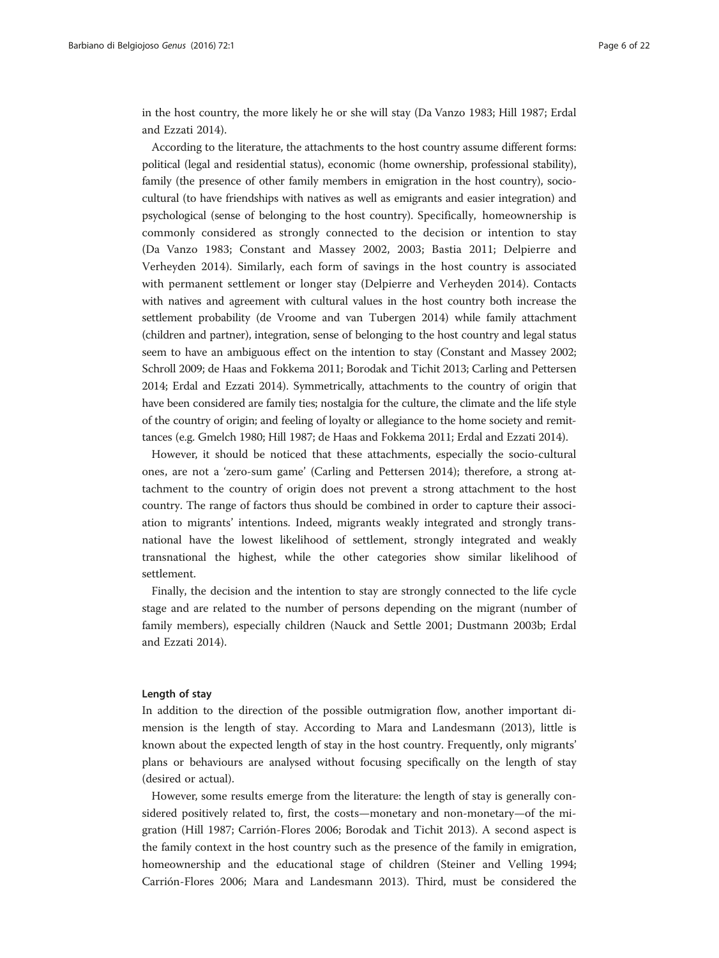in the host country, the more likely he or she will stay (Da Vanzo [1983](#page-19-0); Hill [1987](#page-20-0); Erdal and Ezzati [2014\)](#page-19-0).

According to the literature, the attachments to the host country assume different forms: political (legal and residential status), economic (home ownership, professional stability), family (the presence of other family members in emigration in the host country), sociocultural (to have friendships with natives as well as emigrants and easier integration) and psychological (sense of belonging to the host country). Specifically, homeownership is commonly considered as strongly connected to the decision or intention to stay (Da Vanzo [1983](#page-19-0); Constant and Massey [2002, 2003](#page-19-0); Bastia [2011;](#page-19-0) Delpierre and Verheyden [2014\)](#page-19-0). Similarly, each form of savings in the host country is associated with permanent settlement or longer stay (Delpierre and Verheyden [2014\)](#page-19-0). Contacts with natives and agreement with cultural values in the host country both increase the settlement probability (de Vroome and van Tubergen [2014\)](#page-19-0) while family attachment (children and partner), integration, sense of belonging to the host country and legal status seem to have an ambiguous effect on the intention to stay (Constant and Massey [2002](#page-19-0); Schroll [2009;](#page-20-0) de Haas and Fokkema [2011](#page-19-0); Borodak and Tichit [2013](#page-19-0); Carling and Pettersen [2014;](#page-19-0) Erdal and Ezzati [2014\)](#page-19-0). Symmetrically, attachments to the country of origin that have been considered are family ties; nostalgia for the culture, the climate and the life style of the country of origin; and feeling of loyalty or allegiance to the home society and remittances (e.g. Gmelch [1980;](#page-20-0) Hill [1987](#page-20-0); de Haas and Fokkema [2011](#page-19-0); Erdal and Ezzati [2014\)](#page-19-0).

However, it should be noticed that these attachments, especially the socio-cultural ones, are not a 'zero-sum game' (Carling and Pettersen [2014](#page-19-0)); therefore, a strong attachment to the country of origin does not prevent a strong attachment to the host country. The range of factors thus should be combined in order to capture their association to migrants' intentions. Indeed, migrants weakly integrated and strongly transnational have the lowest likelihood of settlement, strongly integrated and weakly transnational the highest, while the other categories show similar likelihood of settlement.

Finally, the decision and the intention to stay are strongly connected to the life cycle stage and are related to the number of persons depending on the migrant (number of family members), especially children (Nauck and Settle [2001;](#page-20-0) Dustmann [2003b](#page-19-0); Erdal and Ezzati [2014\)](#page-19-0).

#### Length of stay

In addition to the direction of the possible outmigration flow, another important dimension is the length of stay. According to Mara and Landesmann [\(2013\)](#page-20-0), little is known about the expected length of stay in the host country. Frequently, only migrants' plans or behaviours are analysed without focusing specifically on the length of stay (desired or actual).

However, some results emerge from the literature: the length of stay is generally considered positively related to, first, the costs—monetary and non-monetary—of the migration (Hill [1987;](#page-20-0) Carrión-Flores [2006;](#page-19-0) Borodak and Tichit [2013\)](#page-19-0). A second aspect is the family context in the host country such as the presence of the family in emigration, homeownership and the educational stage of children (Steiner and Velling [1994](#page-20-0); Carrión-Flores [2006](#page-19-0); Mara and Landesmann [2013\)](#page-20-0). Third, must be considered the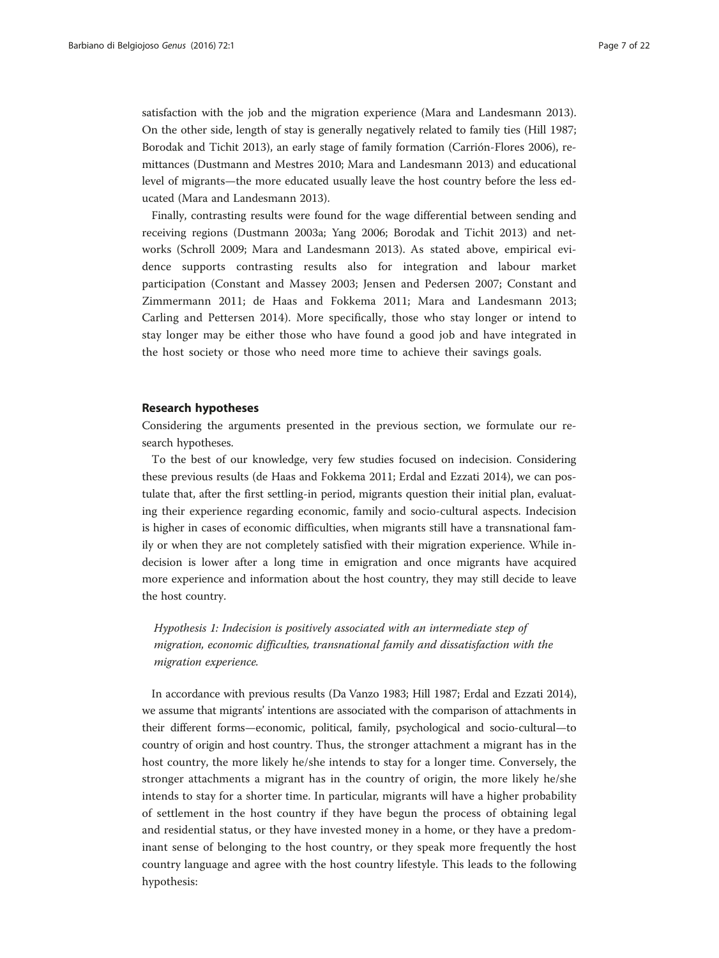<span id="page-6-0"></span>satisfaction with the job and the migration experience (Mara and Landesmann [2013](#page-20-0)). On the other side, length of stay is generally negatively related to family ties (Hill [1987](#page-20-0); Borodak and Tichit [2013\)](#page-19-0), an early stage of family formation (Carrión-Flores [2006](#page-19-0)), remittances (Dustmann and Mestres [2010;](#page-19-0) Mara and Landesmann [2013](#page-20-0)) and educational level of migrants—the more educated usually leave the host country before the less educated (Mara and Landesmann [2013](#page-20-0)).

Finally, contrasting results were found for the wage differential between sending and receiving regions (Dustmann [2003a](#page-19-0); Yang [2006](#page-21-0); Borodak and Tichit [2013\)](#page-19-0) and networks (Schroll [2009](#page-20-0); Mara and Landesmann [2013\)](#page-20-0). As stated above, empirical evidence supports contrasting results also for integration and labour market participation (Constant and Massey [2003;](#page-19-0) Jensen and Pedersen [2007;](#page-20-0) Constant and Zimmermann [2011](#page-19-0); de Haas and Fokkema [2011;](#page-19-0) Mara and Landesmann [2013](#page-20-0); Carling and Pettersen [2014\)](#page-19-0). More specifically, those who stay longer or intend to stay longer may be either those who have found a good job and have integrated in the host society or those who need more time to achieve their savings goals.

#### Research hypotheses

Considering the arguments presented in the previous section, we formulate our research hypotheses.

To the best of our knowledge, very few studies focused on indecision. Considering these previous results (de Haas and Fokkema [2011;](#page-19-0) Erdal and Ezzati [2014](#page-19-0)), we can postulate that, after the first settling-in period, migrants question their initial plan, evaluating their experience regarding economic, family and socio-cultural aspects. Indecision is higher in cases of economic difficulties, when migrants still have a transnational family or when they are not completely satisfied with their migration experience. While indecision is lower after a long time in emigration and once migrants have acquired more experience and information about the host country, they may still decide to leave the host country.

Hypothesis 1: Indecision is positively associated with an intermediate step of migration, economic difficulties, transnational family and dissatisfaction with the migration experience.

In accordance with previous results (Da Vanzo [1983](#page-19-0); Hill [1987;](#page-20-0) Erdal and Ezzati [2014](#page-19-0)), we assume that migrants' intentions are associated with the comparison of attachments in their different forms—economic, political, family, psychological and socio-cultural—to country of origin and host country. Thus, the stronger attachment a migrant has in the host country, the more likely he/she intends to stay for a longer time. Conversely, the stronger attachments a migrant has in the country of origin, the more likely he/she intends to stay for a shorter time. In particular, migrants will have a higher probability of settlement in the host country if they have begun the process of obtaining legal and residential status, or they have invested money in a home, or they have a predominant sense of belonging to the host country, or they speak more frequently the host country language and agree with the host country lifestyle. This leads to the following hypothesis: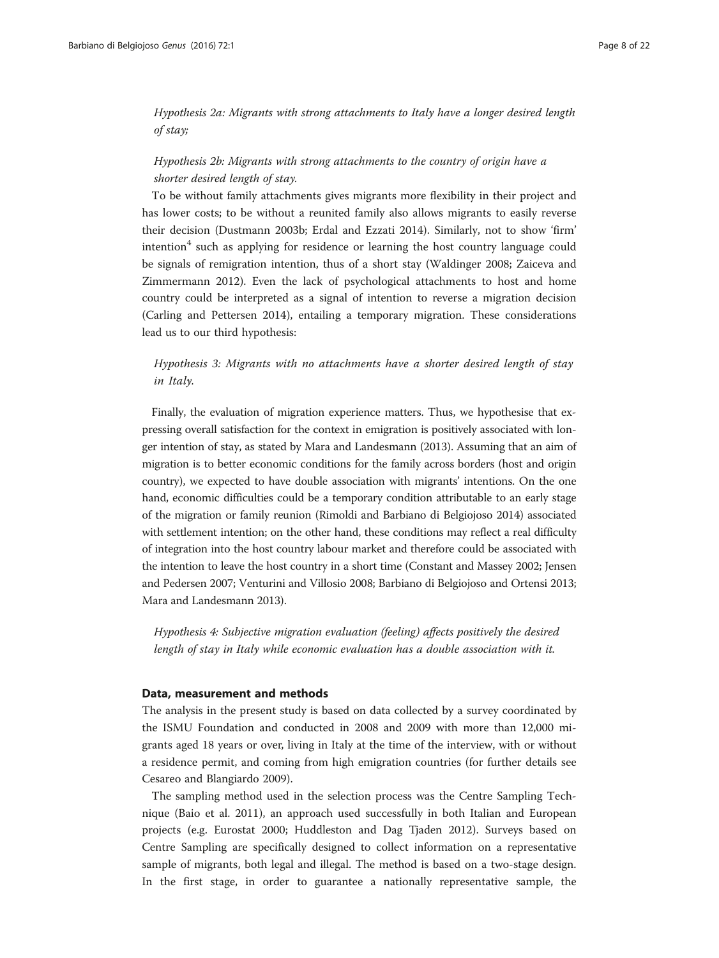<span id="page-7-0"></span>Hypothesis 2a: Migrants with strong attachments to Italy have a longer desired length of stay;

## Hypothesis 2b: Migrants with strong attachments to the country of origin have a shorter desired length of stay.

To be without family attachments gives migrants more flexibility in their project and has lower costs; to be without a reunited family also allows migrants to easily reverse their decision (Dustmann [2003b;](#page-19-0) Erdal and Ezzati [2014\)](#page-19-0). Similarly, not to show 'firm' intention $4$  such as applying for residence or learning the host country language could be signals of remigration intention, thus of a short stay (Waldinger [2008](#page-21-0); Zaiceva and Zimmermann [2012\)](#page-21-0). Even the lack of psychological attachments to host and home country could be interpreted as a signal of intention to reverse a migration decision (Carling and Pettersen [2014](#page-19-0)), entailing a temporary migration. These considerations lead us to our third hypothesis:

## Hypothesis 3: Migrants with no attachments have a shorter desired length of stay in Italy.

Finally, the evaluation of migration experience matters. Thus, we hypothesise that expressing overall satisfaction for the context in emigration is positively associated with longer intention of stay, as stated by Mara and Landesmann [\(2013](#page-20-0)). Assuming that an aim of migration is to better economic conditions for the family across borders (host and origin country), we expected to have double association with migrants' intentions. On the one hand, economic difficulties could be a temporary condition attributable to an early stage of the migration or family reunion (Rimoldi and Barbiano di Belgiojoso [2014\)](#page-20-0) associated with settlement intention; on the other hand, these conditions may reflect a real difficulty of integration into the host country labour market and therefore could be associated with the intention to leave the host country in a short time (Constant and Massey [2002;](#page-19-0) Jensen and Pedersen [2007](#page-20-0); Venturini and Villosio [2008;](#page-21-0) Barbiano di Belgiojoso and Ortensi [2013](#page-19-0); Mara and Landesmann [2013](#page-20-0)).

Hypothesis 4: Subjective migration evaluation (feeling) affects positively the desired length of stay in Italy while economic evaluation has a double association with it.

#### Data, measurement and methods

The analysis in the present study is based on data collected by a survey coordinated by the ISMU Foundation and conducted in 2008 and 2009 with more than 12,000 migrants aged 18 years or over, living in Italy at the time of the interview, with or without a residence permit, and coming from high emigration countries (for further details see Cesareo and Blangiardo [2009](#page-19-0)).

The sampling method used in the selection process was the Centre Sampling Technique (Baio et al. [2011\)](#page-19-0), an approach used successfully in both Italian and European projects (e.g. Eurostat [2000](#page-19-0); Huddleston and Dag Tjaden [2012](#page-20-0)). Surveys based on Centre Sampling are specifically designed to collect information on a representative sample of migrants, both legal and illegal. The method is based on a two-stage design. In the first stage, in order to guarantee a nationally representative sample, the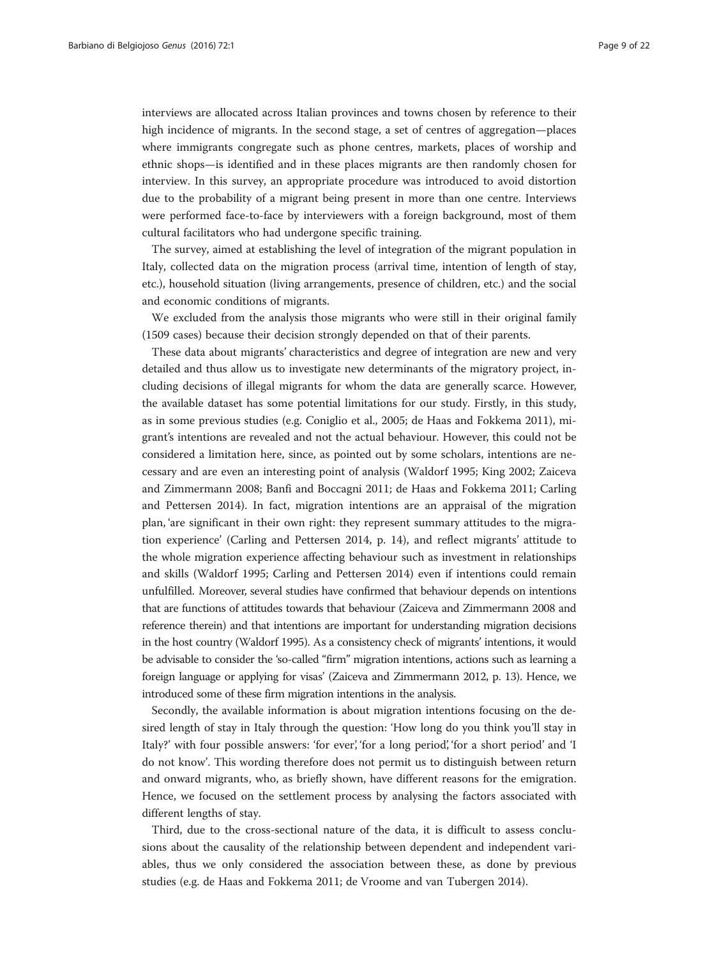interviews are allocated across Italian provinces and towns chosen by reference to their high incidence of migrants. In the second stage, a set of centres of aggregation—places where immigrants congregate such as phone centres, markets, places of worship and ethnic shops—is identified and in these places migrants are then randomly chosen for interview. In this survey, an appropriate procedure was introduced to avoid distortion due to the probability of a migrant being present in more than one centre. Interviews were performed face-to-face by interviewers with a foreign background, most of them cultural facilitators who had undergone specific training.

The survey, aimed at establishing the level of integration of the migrant population in Italy, collected data on the migration process (arrival time, intention of length of stay, etc.), household situation (living arrangements, presence of children, etc.) and the social and economic conditions of migrants.

We excluded from the analysis those migrants who were still in their original family (1509 cases) because their decision strongly depended on that of their parents.

These data about migrants' characteristics and degree of integration are new and very detailed and thus allow us to investigate new determinants of the migratory project, including decisions of illegal migrants for whom the data are generally scarce. However, the available dataset has some potential limitations for our study. Firstly, in this study, as in some previous studies (e.g. Coniglio et al., 2005; de Haas and Fokkema [2011\)](#page-19-0), migrant's intentions are revealed and not the actual behaviour. However, this could not be considered a limitation here, since, as pointed out by some scholars, intentions are necessary and are even an interesting point of analysis (Waldorf [1995](#page-21-0); King [2002](#page-20-0); Zaiceva and Zimmermann [2008](#page-21-0); Banfi and Boccagni [2011;](#page-19-0) de Haas and Fokkema [2011](#page-19-0); Carling and Pettersen [2014\)](#page-19-0). In fact, migration intentions are an appraisal of the migration plan, 'are significant in their own right: they represent summary attitudes to the migration experience' (Carling and Pettersen [2014](#page-19-0), p. 14), and reflect migrants' attitude to the whole migration experience affecting behaviour such as investment in relationships and skills (Waldorf [1995](#page-21-0); Carling and Pettersen [2014\)](#page-19-0) even if intentions could remain unfulfilled. Moreover, several studies have confirmed that behaviour depends on intentions that are functions of attitudes towards that behaviour (Zaiceva and Zimmermann [2008](#page-21-0) and reference therein) and that intentions are important for understanding migration decisions in the host country (Waldorf [1995\)](#page-21-0). As a consistency check of migrants' intentions, it would be advisable to consider the 'so-called "firm" migration intentions, actions such as learning a foreign language or applying for visas' (Zaiceva and Zimmermann [2012,](#page-21-0) p. 13). Hence, we introduced some of these firm migration intentions in the analysis.

Secondly, the available information is about migration intentions focusing on the desired length of stay in Italy through the question: 'How long do you think you'll stay in Italy?' with four possible answers: 'for ever', 'for a long period', 'for a short period' and 'I do not know'. This wording therefore does not permit us to distinguish between return and onward migrants, who, as briefly shown, have different reasons for the emigration. Hence, we focused on the settlement process by analysing the factors associated with different lengths of stay.

Third, due to the cross-sectional nature of the data, it is difficult to assess conclusions about the causality of the relationship between dependent and independent variables, thus we only considered the association between these, as done by previous studies (e.g. de Haas and Fokkema [2011;](#page-19-0) de Vroome and van Tubergen [2014](#page-19-0)).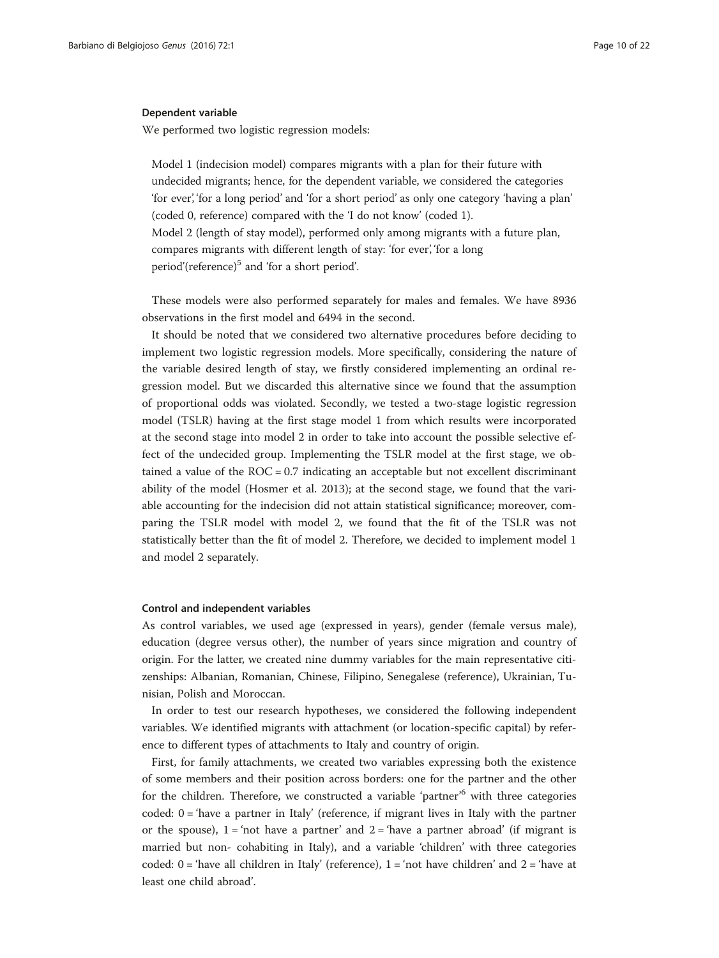#### Dependent variable

We performed two logistic regression models:

Model 1 (indecision model) compares migrants with a plan for their future with undecided migrants; hence, for the dependent variable, we considered the categories 'for ever', 'for a long period' and 'for a short period' as only one category 'having a plan' (coded 0, reference) compared with the 'I do not know' (coded 1). Model 2 (length of stay model), performed only among migrants with a future plan, compares migrants with different length of stay: 'for ever', 'for a long period'(reference)<sup>5</sup> and 'for a short period'.

These models were also performed separately for males and females. We have 8936 observations in the first model and 6494 in the second.

It should be noted that we considered two alternative procedures before deciding to implement two logistic regression models. More specifically, considering the nature of the variable desired length of stay, we firstly considered implementing an ordinal regression model. But we discarded this alternative since we found that the assumption of proportional odds was violated. Secondly, we tested a two-stage logistic regression model (TSLR) having at the first stage model 1 from which results were incorporated at the second stage into model 2 in order to take into account the possible selective effect of the undecided group. Implementing the TSLR model at the first stage, we obtained a value of the  $ROC = 0.7$  indicating an acceptable but not excellent discriminant ability of the model (Hosmer et al. [2013\)](#page-20-0); at the second stage, we found that the variable accounting for the indecision did not attain statistical significance; moreover, comparing the TSLR model with model 2, we found that the fit of the TSLR was not statistically better than the fit of model 2. Therefore, we decided to implement model 1 and model 2 separately.

#### Control and independent variables

As control variables, we used age (expressed in years), gender (female versus male), education (degree versus other), the number of years since migration and country of origin. For the latter, we created nine dummy variables for the main representative citizenships: Albanian, Romanian, Chinese, Filipino, Senegalese (reference), Ukrainian, Tunisian, Polish and Moroccan.

In order to test our research hypotheses, we considered the following independent variables. We identified migrants with attachment (or location-specific capital) by reference to different types of attachments to Italy and country of origin.

First, for family attachments, we created two variables expressing both the existence of some members and their position across borders: one for the partner and the other for the children. Therefore, we constructed a variable 'partner'<sup>6</sup> with three categories coded: 0 = 'have a partner in Italy' (reference, if migrant lives in Italy with the partner or the spouse),  $1 = \text{'not}$  have a partner' and  $2 = \text{'have}$  a partner abroad' (if migrant is married but non- cohabiting in Italy), and a variable 'children' with three categories coded:  $0 =$ 'have all children in Italy' (reference),  $1 =$ 'not have children' and  $2 =$ 'have at least one child abroad'.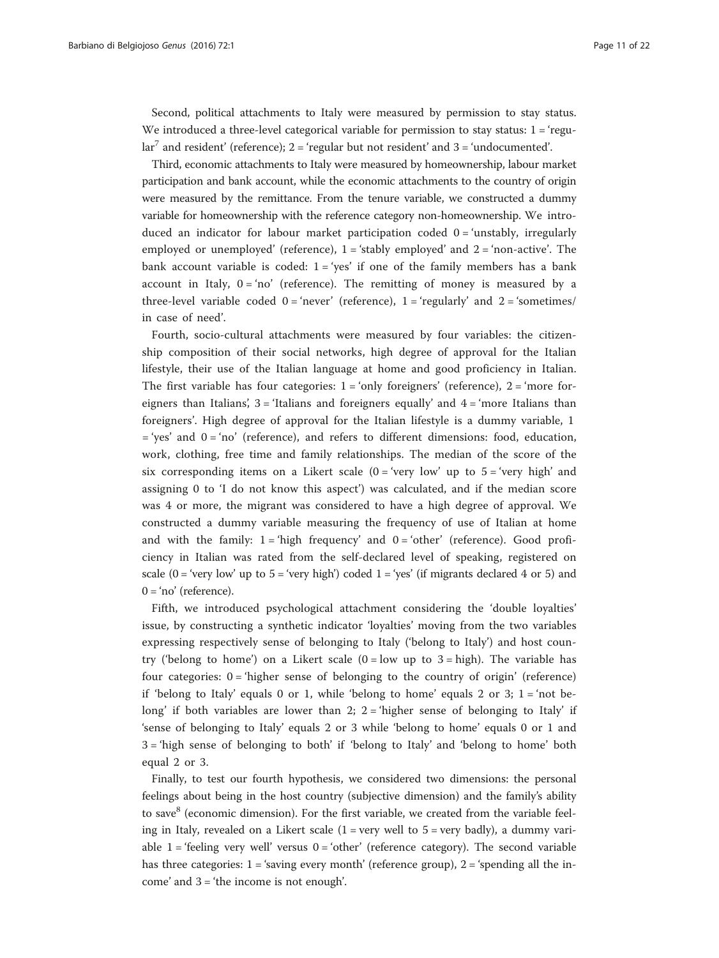Second, political attachments to Italy were measured by permission to stay status. We introduced a three-level categorical variable for permission to stay status: 1 = 'regu $lar<sup>7</sup>$  and resident' (reference); 2 = 'regular but not resident' and 3 = 'undocumented'.

Third, economic attachments to Italy were measured by homeownership, labour market participation and bank account, while the economic attachments to the country of origin were measured by the remittance. From the tenure variable, we constructed a dummy variable for homeownership with the reference category non-homeownership. We introduced an indicator for labour market participation coded  $0 = 'unstably, irregularly$ employed or unemployed' (reference),  $1 =$  'stably employed' and  $2 =$  'non-active'. The bank account variable is coded:  $1 = 'yes'$  if one of the family members has a bank account in Italy,  $0 = 'no'$  (reference). The remitting of money is measured by a three-level variable coded  $0 = 'never'$  (reference),  $1 = 'regularly'$  and  $2 = 'sometimes/$ in case of need'.

Fourth, socio-cultural attachments were measured by four variables: the citizenship composition of their social networks, high degree of approval for the Italian lifestyle, their use of the Italian language at home and good proficiency in Italian. The first variable has four categories:  $1 = \text{`only foreigners' (reference)}, 2 = \text{`more for-}$ eigners than Italians',  $3 =$ 'Italians and foreigners equally' and  $4 =$ 'more Italians than foreigners'. High degree of approval for the Italian lifestyle is a dummy variable, 1  $=$  'yes' and  $0 =$  'no' (reference), and refers to different dimensions: food, education, work, clothing, free time and family relationships. The median of the score of the six corresponding items on a Likert scale  $(0 = 'very low' up to 5 = 'very high' and$ assigning 0 to 'I do not know this aspect') was calculated, and if the median score was 4 or more, the migrant was considered to have a high degree of approval. We constructed a dummy variable measuring the frequency of use of Italian at home and with the family:  $1 =$  'high frequency' and  $0 =$  'other' (reference). Good proficiency in Italian was rated from the self-declared level of speaking, registered on scale (0 = 'very low' up to  $5 =$  'very high') coded  $1 =$  'yes' (if migrants declared 4 or 5) and  $0 = 'no'$  (reference).

Fifth, we introduced psychological attachment considering the 'double loyalties' issue, by constructing a synthetic indicator 'loyalties' moving from the two variables expressing respectively sense of belonging to Italy ('belong to Italy') and host country ('belong to home') on a Likert scale  $(0 = low up to 3 = high)$ . The variable has four categories: 0 = 'higher sense of belonging to the country of origin' (reference) if 'belong to Italy' equals 0 or 1, while 'belong to home' equals 2 or 3;  $1 = \text{'not be-}$ long' if both variables are lower than 2;  $2 =$  'higher sense of belonging to Italy' if 'sense of belonging to Italy' equals 2 or 3 while 'belong to home' equals 0 or 1 and 3 = 'high sense of belonging to both' if 'belong to Italy' and 'belong to home' both equal 2 or 3.

Finally, to test our fourth hypothesis, we considered two dimensions: the personal feelings about being in the host country (subjective dimension) and the family's ability to save $8$  (economic dimension). For the first variable, we created from the variable feeling in Italy, revealed on a Likert scale  $(1 = \text{very well to } 5 = \text{very badly})$ , a dummy variable  $1$  = 'feeling very well' versus  $0$  = 'other' (reference category). The second variable has three categories:  $1 = 'saving$  every month' (reference group),  $2 = 'spending$  all the income' and  $3 = '$ the income is not enough'.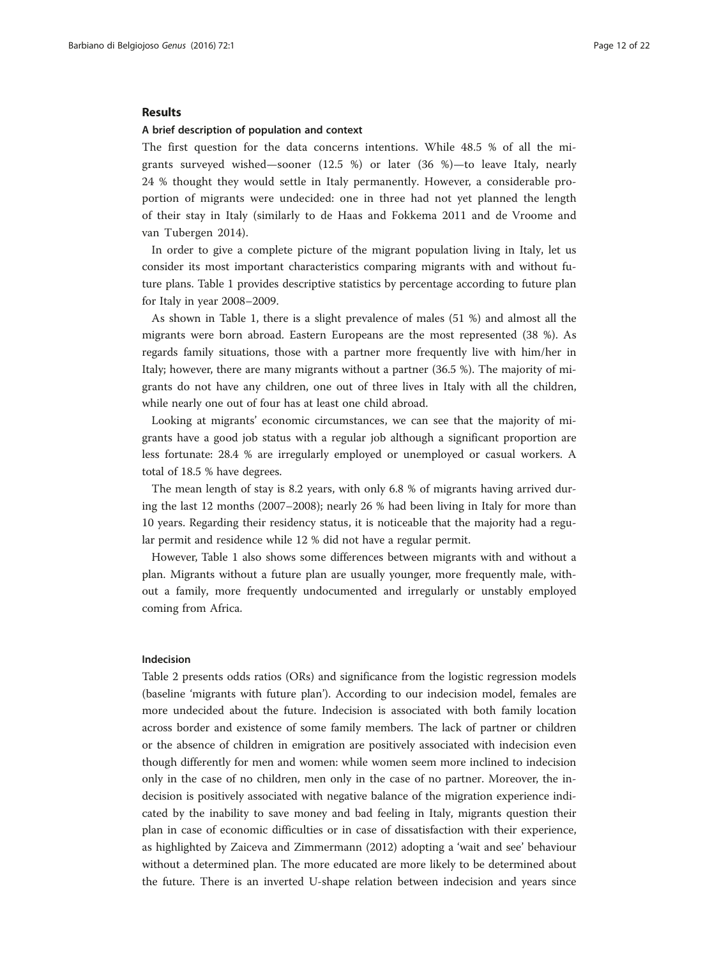#### <span id="page-11-0"></span>Results

#### A brief description of population and context

The first question for the data concerns intentions. While 48.5 % of all the migrants surveyed wished—sooner (12.5 %) or later (36 %)—to leave Italy, nearly 24 % thought they would settle in Italy permanently. However, a considerable proportion of migrants were undecided: one in three had not yet planned the length of their stay in Italy (similarly to de Haas and Fokkema [2011](#page-19-0) and de Vroome and van Tubergen [2014](#page-19-0)).

In order to give a complete picture of the migrant population living in Italy, let us consider its most important characteristics comparing migrants with and without future plans. Table [1](#page-12-0) provides descriptive statistics by percentage according to future plan for Italy in year 2008–2009.

As shown in Table [1](#page-12-0), there is a slight prevalence of males (51 %) and almost all the migrants were born abroad. Eastern Europeans are the most represented (38 %). As regards family situations, those with a partner more frequently live with him/her in Italy; however, there are many migrants without a partner (36.5 %). The majority of migrants do not have any children, one out of three lives in Italy with all the children, while nearly one out of four has at least one child abroad.

Looking at migrants' economic circumstances, we can see that the majority of migrants have a good job status with a regular job although a significant proportion are less fortunate: 28.4 % are irregularly employed or unemployed or casual workers. A total of 18.5 % have degrees.

The mean length of stay is 8.2 years, with only 6.8 % of migrants having arrived during the last 12 months (2007–2008); nearly 26 % had been living in Italy for more than 10 years. Regarding their residency status, it is noticeable that the majority had a regular permit and residence while 12 % did not have a regular permit.

However, Table [1](#page-12-0) also shows some differences between migrants with and without a plan. Migrants without a future plan are usually younger, more frequently male, without a family, more frequently undocumented and irregularly or unstably employed coming from Africa.

#### Indecision

Table [2](#page-13-0) presents odds ratios (ORs) and significance from the logistic regression models (baseline 'migrants with future plan'). According to our indecision model, females are more undecided about the future. Indecision is associated with both family location across border and existence of some family members. The lack of partner or children or the absence of children in emigration are positively associated with indecision even though differently for men and women: while women seem more inclined to indecision only in the case of no children, men only in the case of no partner. Moreover, the indecision is positively associated with negative balance of the migration experience indicated by the inability to save money and bad feeling in Italy, migrants question their plan in case of economic difficulties or in case of dissatisfaction with their experience, as highlighted by Zaiceva and Zimmermann [\(2012](#page-21-0)) adopting a 'wait and see' behaviour without a determined plan. The more educated are more likely to be determined about the future. There is an inverted U-shape relation between indecision and years since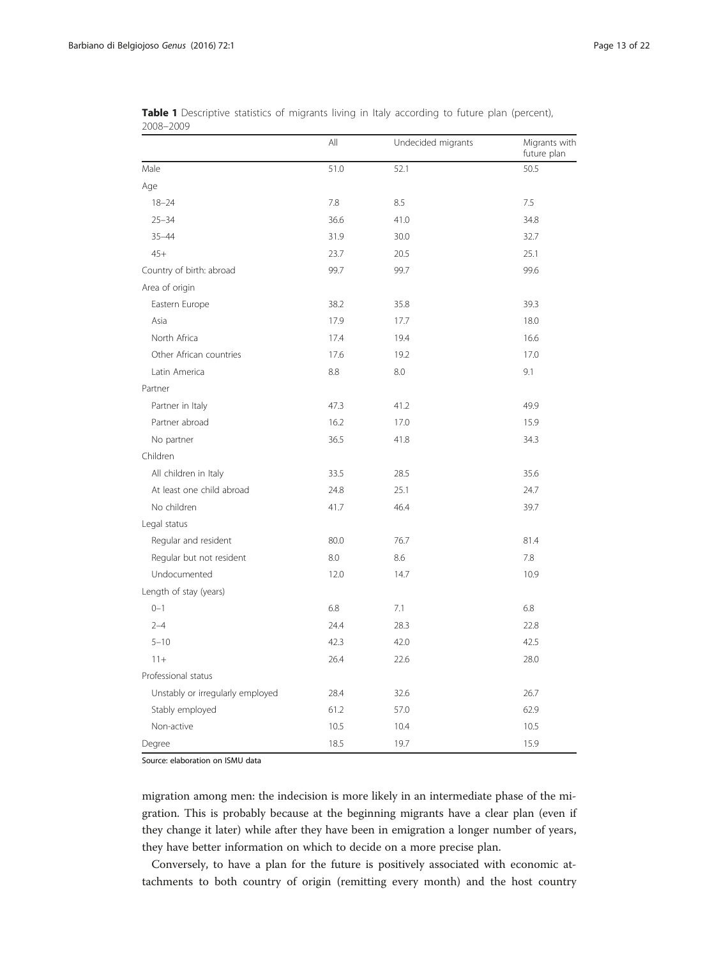|                                  | All  | Undecided migrants | Migrants with<br>future plan |
|----------------------------------|------|--------------------|------------------------------|
| Male                             | 51.0 | 52.1               | 50.5                         |
| Age                              |      |                    |                              |
| $18 - 24$                        | 7.8  | 8.5                | 7.5                          |
| $25 - 34$                        | 36.6 | 41.0               | 34.8                         |
| $35 - 44$                        | 31.9 | 30.0               | 32.7                         |
| $45+$                            | 23.7 | 20.5               | 25.1                         |
| Country of birth: abroad         | 99.7 | 99.7               | 99.6                         |
| Area of origin                   |      |                    |                              |
| Eastern Europe                   | 38.2 | 35.8               | 39.3                         |
| Asia                             | 17.9 | 17.7               | 18.0                         |
| North Africa                     | 17.4 | 19.4               | 16.6                         |
| Other African countries          | 17.6 | 19.2               | 17.0                         |
| Latin America                    | 8.8  | 8.0                | 9.1                          |
| Partner                          |      |                    |                              |
| Partner in Italy                 | 47.3 | 41.2               | 49.9                         |
| Partner abroad                   | 16.2 | 17.0               | 15.9                         |
| No partner                       | 36.5 | 41.8               | 34.3                         |
| Children                         |      |                    |                              |
| All children in Italy            | 33.5 | 28.5               | 35.6                         |
| At least one child abroad        | 24.8 | 25.1               | 24.7                         |
| No children                      | 41.7 | 46.4               | 39.7                         |
| Legal status                     |      |                    |                              |
| Regular and resident             | 80.0 | 76.7               | 81.4                         |
| Regular but not resident         | 8.0  | 8.6                | 7.8                          |
| Undocumented                     | 12.0 | 14.7               | 10.9                         |
| Length of stay (years)           |      |                    |                              |
| $0 - 1$                          | 6.8  | 7.1                | 6.8                          |
| $2 - 4$                          | 24.4 | 28.3               | 22.8                         |
| $5 - 10$                         | 42.3 | 42.0               | 42.5                         |
| $11+$                            | 26.4 | 22.6               | 28.0                         |
| Professional status              |      |                    |                              |
| Unstably or irregularly employed | 28.4 | 32.6               | 26.7                         |
| Stably employed                  | 61.2 | 57.0               | 62.9                         |
| Non-active                       | 10.5 | 10.4               | 10.5                         |
| Degree                           | 18.5 | 19.7               | 15.9                         |

<span id="page-12-0"></span>Table 1 Descriptive statistics of migrants living in Italy according to future plan (percent), 2008–2009

Source: elaboration on ISMU data

migration among men: the indecision is more likely in an intermediate phase of the migration. This is probably because at the beginning migrants have a clear plan (even if they change it later) while after they have been in emigration a longer number of years, they have better information on which to decide on a more precise plan.

Conversely, to have a plan for the future is positively associated with economic attachments to both country of origin (remitting every month) and the host country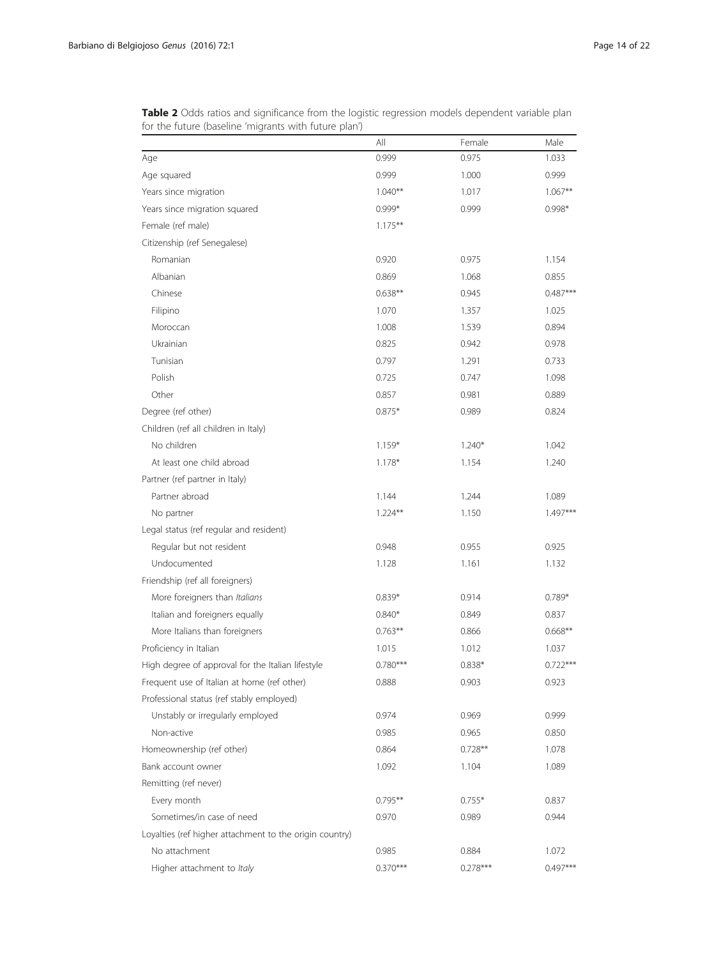<span id="page-13-0"></span>

| Table 2 Odds ratios and significance from the logistic regression models dependent variable plan |  |  |  |  |
|--------------------------------------------------------------------------------------------------|--|--|--|--|
| for the future (baseline 'migrants with future plan')                                            |  |  |  |  |

|                                                         | All        | Female     | Male       |
|---------------------------------------------------------|------------|------------|------------|
| Age                                                     | 0.999      | 0.975      | 1.033      |
| Age squared                                             | 0.999      | 1.000      | 0.999      |
| Years since migration                                   | $1.040**$  | 1.017      | $1.067**$  |
| Years since migration squared                           | $0.999*$   | 0.999      | $0.998*$   |
| Female (ref male)                                       | $1.175***$ |            |            |
| Citizenship (ref Senegalese)                            |            |            |            |
| Romanian                                                | 0.920      | 0.975      | 1.154      |
| Albanian                                                | 0.869      | 1.068      | 0.855      |
| Chinese                                                 | $0.638**$  | 0.945      | $0.487***$ |
| Filipino                                                | 1.070      | 1.357      | 1.025      |
| Moroccan                                                | 1.008      | 1.539      | 0.894      |
| Ukrainian                                               | 0.825      | 0.942      | 0.978      |
| Tunisian                                                | 0.797      | 1.291      | 0.733      |
| Polish                                                  | 0.725      | 0.747      | 1.098      |
| Other                                                   | 0.857      | 0.981      | 0.889      |
| Degree (ref other)                                      | $0.875*$   | 0.989      | 0.824      |
| Children (ref all children in Italy)                    |            |            |            |
| No children                                             | $1.159*$   | $1.240*$   | 1.042      |
| At least one child abroad                               | $1.178*$   | 1.154      | 1.240      |
| Partner (ref partner in Italy)                          |            |            |            |
| Partner abroad                                          | 1.144      | 1.244      | 1.089      |
| No partner                                              | $1.224***$ | 1.150      | $1.497***$ |
| Legal status (ref regular and resident)                 |            |            |            |
| Regular but not resident                                | 0.948      | 0.955      | 0.925      |
| Undocumented                                            | 1.128      | 1.161      | 1.132      |
| Friendship (ref all foreigners)                         |            |            |            |
| More foreigners than Italians                           | $0.839*$   | 0.914      | $0.789*$   |
| Italian and foreigners equally                          | $0.840*$   | 0.849      | 0.837      |
| More Italians than foreigners                           | $0.763**$  | 0.866      | $0.668**$  |
| Proficiency in Italian                                  | 1.015      | 1.012      | 1.037      |
| High degree of approval for the Italian lifestyle       | $0.780***$ | $0.838*$   | $0.722***$ |
| Frequent use of Italian at home (ref other)             | 0.888      | 0.903      | 0.923      |
| Professional status (ref stably employed)               |            |            |            |
| Unstably or irregularly employed                        | 0.974      | 0.969      | 0.999      |
| Non-active                                              | 0.985      | 0.965      | 0.850      |
| Homeownership (ref other)                               | 0.864      | $0.728**$  | 1.078      |
| Bank account owner                                      | 1.092      | 1.104      | 1.089      |
| Remitting (ref never)                                   |            |            |            |
| Every month                                             | $0.795***$ | $0.755*$   | 0.837      |
| Sometimes/in case of need                               | 0.970      | 0.989      | 0.944      |
| Loyalties (ref higher attachment to the origin country) |            |            |            |
| No attachment                                           | 0.985      | 0.884      | 1.072      |
| Higher attachment to Italy                              | $0.370***$ | $0.278***$ | $0.497***$ |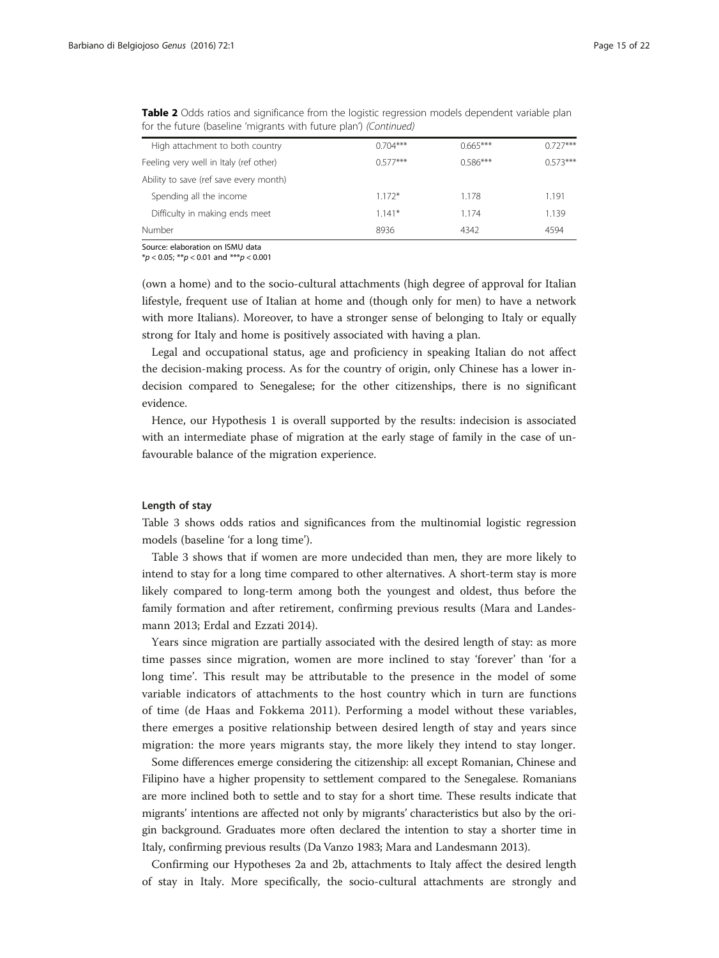| High attachment to both country        | $0.704***$ | $0.665***$ | $0.727***$ |
|----------------------------------------|------------|------------|------------|
| Feeling very well in Italy (ref other) | $0.577***$ | $0.586***$ | $0.573***$ |
| Ability to save (ref save every month) |            |            |            |
| Spending all the income                | $1.172*$   | 1.178      | 1.191      |
| Difficulty in making ends meet         | $1.141*$   | 1.174      | 1.139      |
| Number                                 | 8936       | 4342       | 4594       |

Table 2 Odds ratios and significance from the logistic regression models dependent variable plan for the future (baseline 'migrants with future plan') (Continued)

Source: elaboration on ISMU data

 $*p < 0.05$ ;  $**p < 0.01$  and  $***p < 0.001$ 

(own a home) and to the socio-cultural attachments (high degree of approval for Italian lifestyle, frequent use of Italian at home and (though only for men) to have a network with more Italians). Moreover, to have a stronger sense of belonging to Italy or equally strong for Italy and home is positively associated with having a plan.

Legal and occupational status, age and proficiency in speaking Italian do not affect the decision-making process. As for the country of origin, only Chinese has a lower indecision compared to Senegalese; for the other citizenships, there is no significant evidence.

Hence, our Hypothesis 1 is overall supported by the results: indecision is associated with an intermediate phase of migration at the early stage of family in the case of unfavourable balance of the migration experience.

#### Length of stay

Table [3](#page-15-0) shows odds ratios and significances from the multinomial logistic regression models (baseline 'for a long time').

Table [3](#page-15-0) shows that if women are more undecided than men, they are more likely to intend to stay for a long time compared to other alternatives. A short-term stay is more likely compared to long-term among both the youngest and oldest, thus before the family formation and after retirement, confirming previous results (Mara and Landesmann [2013;](#page-20-0) Erdal and Ezzati [2014\)](#page-19-0).

Years since migration are partially associated with the desired length of stay: as more time passes since migration, women are more inclined to stay 'forever' than 'for a long time'. This result may be attributable to the presence in the model of some variable indicators of attachments to the host country which in turn are functions of time (de Haas and Fokkema [2011\)](#page-19-0). Performing a model without these variables, there emerges a positive relationship between desired length of stay and years since migration: the more years migrants stay, the more likely they intend to stay longer.

Some differences emerge considering the citizenship: all except Romanian, Chinese and Filipino have a higher propensity to settlement compared to the Senegalese. Romanians are more inclined both to settle and to stay for a short time. These results indicate that migrants' intentions are affected not only by migrants' characteristics but also by the origin background. Graduates more often declared the intention to stay a shorter time in Italy, confirming previous results (Da Vanzo [1983;](#page-19-0) Mara and Landesmann [2013](#page-20-0)).

Confirming our Hypotheses 2a and 2b, attachments to Italy affect the desired length of stay in Italy. More specifically, the socio-cultural attachments are strongly and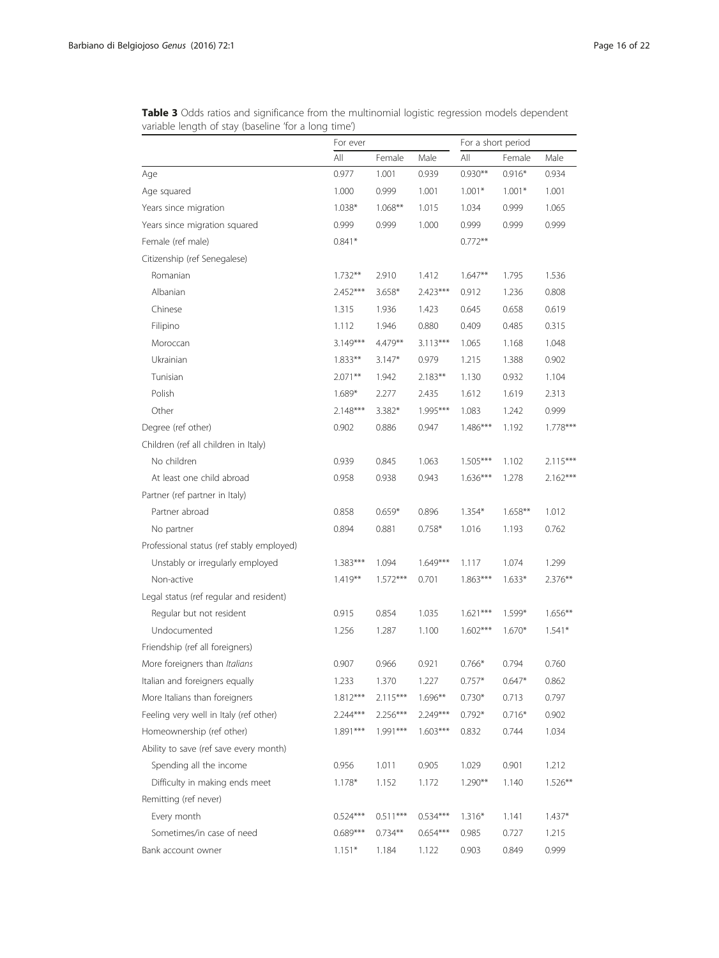<span id="page-15-0"></span>

| <b>Table 3</b> Odds ratios and significance from the multinomial logistic regression models dependent |
|-------------------------------------------------------------------------------------------------------|
| variable length of stay (baseline 'for a long time')                                                  |

|                                           | For ever   |            |            |            | For a short period |            |  |
|-------------------------------------------|------------|------------|------------|------------|--------------------|------------|--|
|                                           | All        | Female     | Male       | All        | Female             | Male       |  |
| Age                                       | 0.977      | 1.001      | 0.939      | $0.930**$  | $0.916*$           | 0.934      |  |
| Age squared                               | 1.000      | 0.999      | 1.001      | $1.001*$   | $1.001*$           | 1.001      |  |
| Years since migration                     | $1.038*$   | $1.068**$  | 1.015      | 1.034      | 0.999              | 1.065      |  |
| Years since migration squared             | 0.999      | 0.999      | 1.000      | 0.999      | 0.999              | 0.999      |  |
| Female (ref male)                         | $0.841*$   |            |            | $0.772**$  |                    |            |  |
| Citizenship (ref Senegalese)              |            |            |            |            |                    |            |  |
| Romanian                                  | $1.732**$  | 2.910      | 1.412      | $1.647**$  | 1.795              | 1.536      |  |
| Albanian                                  | 2.452***   | $3.658*$   | $2.423***$ | 0.912      | 1.236              | 0.808      |  |
| Chinese                                   | 1.315      | 1.936      | 1.423      | 0.645      | 0.658              | 0.619      |  |
| Filipino                                  | 1.112      | 1.946      | 0.880      | 0.409      | 0.485              | 0.315      |  |
| Moroccan                                  | $3.149***$ | 4.479**    | $3.113***$ | 1.065      | 1.168              | 1.048      |  |
| Ukrainian                                 | $1.833**$  | $3.147*$   | 0.979      | 1.215      | 1.388              | 0.902      |  |
| Tunisian                                  | $2.071**$  | 1.942      | $2.183**$  | 1.130      | 0.932              | 1.104      |  |
| Polish                                    | $1.689*$   | 2.277      | 2.435      | 1.612      | 1.619              | 2.313      |  |
| Other                                     | $2.148***$ | 3.382*     | 1.995***   | 1.083      | 1.242              | 0.999      |  |
| Degree (ref other)                        | 0.902      | 0.886      | 0.947      | $1.486***$ | 1.192              | $1.778***$ |  |
| Children (ref all children in Italy)      |            |            |            |            |                    |            |  |
| No children                               | 0.939      | 0.845      | 1.063      | $1.505***$ | 1.102              | $2.115***$ |  |
| At least one child abroad                 | 0.958      | 0.938      | 0.943      | $1.636***$ | 1.278              | $2.162***$ |  |
| Partner (ref partner in Italy)            |            |            |            |            |                    |            |  |
| Partner abroad                            | 0.858      | $0.659*$   | 0.896      | $1.354*$   | $1.658**$          | 1.012      |  |
| No partner                                | 0.894      | 0.881      | $0.758*$   | 1.016      | 1.193              | 0.762      |  |
| Professional status (ref stably employed) |            |            |            |            |                    |            |  |
| Unstably or irregularly employed          | $1.383***$ | 1.094      | $1.649***$ | 1.117      | 1.074              | 1.299      |  |
| Non-active                                | $1.419**$  | $1.572***$ | 0.701      | $1.863***$ | $1.633*$           | 2.376**    |  |
| Legal status (ref regular and resident)   |            |            |            |            |                    |            |  |
| Regular but not resident                  | 0.915      | 0.854      | 1.035      | $1.621***$ | 1.599*             | $1.656**$  |  |
| Undocumented                              | 1.256      | 1.287      | 1.100      | $1.602***$ | $1.670*$           | $1.541*$   |  |
| Friendship (ref all foreigners)           |            |            |            |            |                    |            |  |
| More foreigners than Italians             | 0.907      | 0.966      | 0.921      | $0.766*$   | 0.794              | 0.760      |  |
| Italian and foreigners equally            | 1.233      | 1.370      | 1.227      | $0.757*$   | $0.647*$           | 0.862      |  |
| More Italians than foreigners             | $1.812***$ | $2.115***$ | $1.696***$ | $0.730*$   | 0.713              | 0.797      |  |
| Feeling very well in Italy (ref other)    | 2.244***   | $2.256***$ | $2.249***$ | $0.792*$   | $0.716*$           | 0.902      |  |
| Homeownership (ref other)                 | 1.891***   | 1.991***   | $1.603***$ | 0.832      | 0.744              | 1.034      |  |
| Ability to save (ref save every month)    |            |            |            |            |                    |            |  |
| Spending all the income                   | 0.956      | 1.011      | 0.905      | 1.029      | 0.901              | 1.212      |  |
| Difficulty in making ends meet            | $1.178*$   | 1.152      | 1.172      | $1.290**$  | 1.140              | $1.526***$ |  |
| Remitting (ref never)                     |            |            |            |            |                    |            |  |
| Every month                               | $0.524***$ | $0.511***$ | $0.534***$ | $1.316*$   | 1.141              | $1.437*$   |  |
| Sometimes/in case of need                 | $0.689***$ | $0.734**$  | $0.654***$ | 0.985      | 0.727              | 1.215      |  |
| Bank account owner                        | $1.151*$   | 1.184      | 1.122      | 0.903      | 0.849              | 0.999      |  |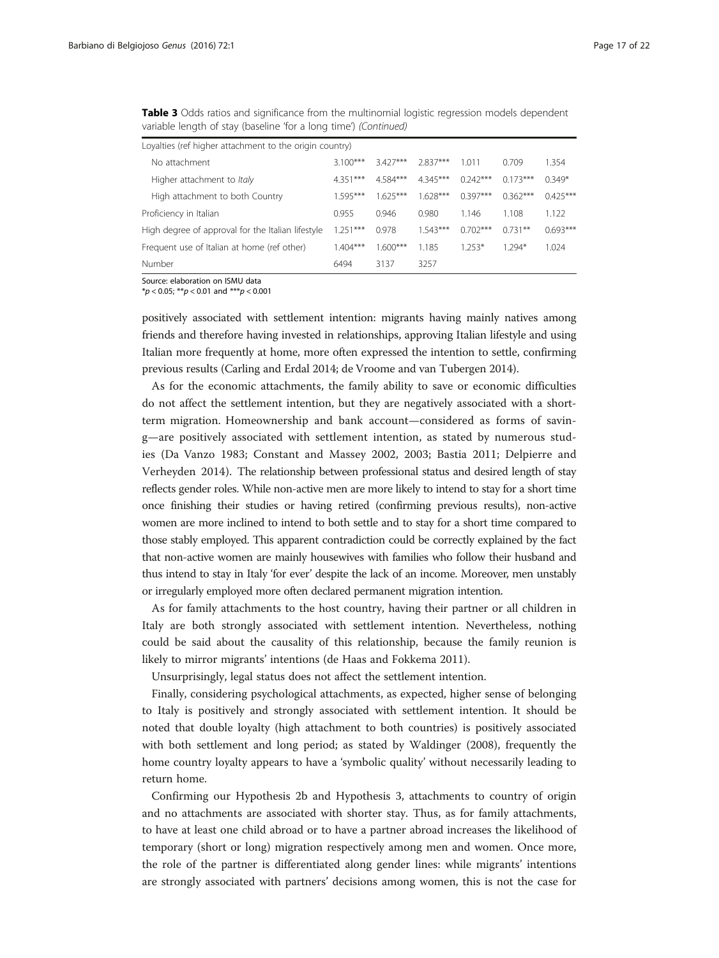| Loyalties (ref higher attachment to the origin country) |            |            |            |            |            |            |  |
|---------------------------------------------------------|------------|------------|------------|------------|------------|------------|--|
| No attachment                                           | $3100***$  | $3427***$  | 2837***    | 1 0 1 1    | 0.709      | 1.354      |  |
| Higher attachment to Italy                              | $4.351***$ | 4584***    | 4 345***   | $0.242***$ | $0.173***$ | $0.349*$   |  |
| High attachment to both Country                         | $1595***$  | $1625***$  | $1.628***$ | $0.397***$ | $0.362***$ | $0.425***$ |  |
| Proficiency in Italian                                  | 0.955      | 0.946      | 0.980      | 1.146      | 1.108      | 1.122      |  |
| High degree of approval for the Italian lifestyle       | $1.251***$ | 0.978      | $1.543***$ | $0.702***$ | $0.731**$  | $0.693***$ |  |
| Frequent use of Italian at home (ref other)             | $1.404***$ | $1.600***$ | 1.185      | $1253*$    | 1 2 9 4*   | 1.024      |  |
| Number                                                  | 6494       | 3137       | 3257       |            |            |            |  |

Table 3 Odds ratios and significance from the multinomial logistic regression models dependent variable length of stay (baseline 'for a long time') (Continued)

Source: elaboration on ISMU data

 $**p* < 0.05; ***p* < 0.01$  and  $****p* < 0.001$ 

positively associated with settlement intention: migrants having mainly natives among friends and therefore having invested in relationships, approving Italian lifestyle and using Italian more frequently at home, more often expressed the intention to settle, confirming previous results (Carling and Erdal [2014](#page-19-0); de Vroome and van Tubergen [2014\)](#page-19-0).

As for the economic attachments, the family ability to save or economic difficulties do not affect the settlement intention, but they are negatively associated with a shortterm migration. Homeownership and bank account—considered as forms of saving—are positively associated with settlement intention, as stated by numerous studies (Da Vanzo [1983;](#page-19-0) Constant and Massey [2002](#page-19-0), [2003](#page-19-0); Bastia [2011;](#page-19-0) Delpierre and Verheyden [2014\)](#page-19-0). The relationship between professional status and desired length of stay reflects gender roles. While non-active men are more likely to intend to stay for a short time once finishing their studies or having retired (confirming previous results), non-active women are more inclined to intend to both settle and to stay for a short time compared to those stably employed. This apparent contradiction could be correctly explained by the fact that non-active women are mainly housewives with families who follow their husband and thus intend to stay in Italy 'for ever' despite the lack of an income. Moreover, men unstably or irregularly employed more often declared permanent migration intention.

As for family attachments to the host country, having their partner or all children in Italy are both strongly associated with settlement intention. Nevertheless, nothing could be said about the causality of this relationship, because the family reunion is likely to mirror migrants' intentions (de Haas and Fokkema [2011](#page-19-0)).

Unsurprisingly, legal status does not affect the settlement intention.

Finally, considering psychological attachments, as expected, higher sense of belonging to Italy is positively and strongly associated with settlement intention. It should be noted that double loyalty (high attachment to both countries) is positively associated with both settlement and long period; as stated by Waldinger ([2008](#page-21-0)), frequently the home country loyalty appears to have a 'symbolic quality' without necessarily leading to return home.

Confirming our Hypothesis 2b and Hypothesis 3, attachments to country of origin and no attachments are associated with shorter stay. Thus, as for family attachments, to have at least one child abroad or to have a partner abroad increases the likelihood of temporary (short or long) migration respectively among men and women. Once more, the role of the partner is differentiated along gender lines: while migrants' intentions are strongly associated with partners' decisions among women, this is not the case for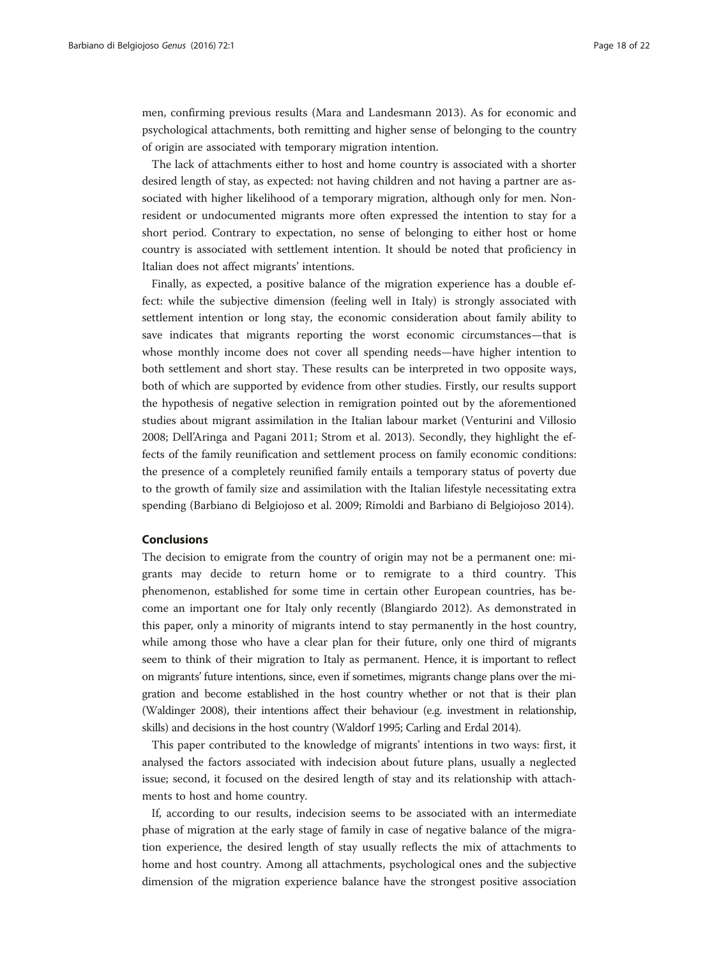<span id="page-17-0"></span>men, confirming previous results (Mara and Landesmann [2013\)](#page-20-0). As for economic and psychological attachments, both remitting and higher sense of belonging to the country of origin are associated with temporary migration intention.

The lack of attachments either to host and home country is associated with a shorter desired length of stay, as expected: not having children and not having a partner are associated with higher likelihood of a temporary migration, although only for men. Nonresident or undocumented migrants more often expressed the intention to stay for a short period. Contrary to expectation, no sense of belonging to either host or home country is associated with settlement intention. It should be noted that proficiency in Italian does not affect migrants' intentions.

Finally, as expected, a positive balance of the migration experience has a double effect: while the subjective dimension (feeling well in Italy) is strongly associated with settlement intention or long stay, the economic consideration about family ability to save indicates that migrants reporting the worst economic circumstances—that is whose monthly income does not cover all spending needs—have higher intention to both settlement and short stay. These results can be interpreted in two opposite ways, both of which are supported by evidence from other studies. Firstly, our results support the hypothesis of negative selection in remigration pointed out by the aforementioned studies about migrant assimilation in the Italian labour market (Venturini and Villosio [2008](#page-21-0); Dell'Aringa and Pagani [2011;](#page-19-0) Strom et al. [2013\)](#page-20-0). Secondly, they highlight the effects of the family reunification and settlement process on family economic conditions: the presence of a completely reunified family entails a temporary status of poverty due to the growth of family size and assimilation with the Italian lifestyle necessitating extra spending (Barbiano di Belgiojoso et al. [2009](#page-19-0); Rimoldi and Barbiano di Belgiojoso [2014](#page-20-0)).

#### Conclusions

The decision to emigrate from the country of origin may not be a permanent one: migrants may decide to return home or to remigrate to a third country. This phenomenon, established for some time in certain other European countries, has become an important one for Italy only recently (Blangiardo [2012\)](#page-19-0). As demonstrated in this paper, only a minority of migrants intend to stay permanently in the host country, while among those who have a clear plan for their future, only one third of migrants seem to think of their migration to Italy as permanent. Hence, it is important to reflect on migrants' future intentions, since, even if sometimes, migrants change plans over the migration and become established in the host country whether or not that is their plan (Waldinger [2008\)](#page-21-0), their intentions affect their behaviour (e.g. investment in relationship, skills) and decisions in the host country (Waldorf [1995;](#page-21-0) Carling and Erdal [2014\)](#page-19-0).

This paper contributed to the knowledge of migrants' intentions in two ways: first, it analysed the factors associated with indecision about future plans, usually a neglected issue; second, it focused on the desired length of stay and its relationship with attachments to host and home country.

If, according to our results, indecision seems to be associated with an intermediate phase of migration at the early stage of family in case of negative balance of the migration experience, the desired length of stay usually reflects the mix of attachments to home and host country. Among all attachments, psychological ones and the subjective dimension of the migration experience balance have the strongest positive association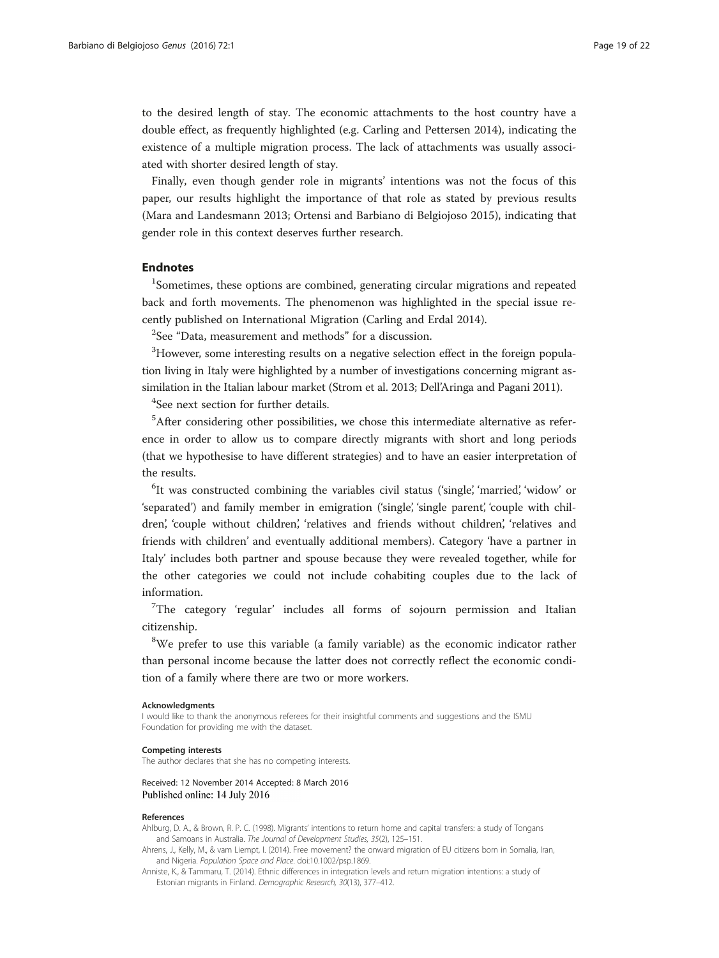<span id="page-18-0"></span>to the desired length of stay. The economic attachments to the host country have a double effect, as frequently highlighted (e.g. Carling and Pettersen [2014\)](#page-19-0), indicating the existence of a multiple migration process. The lack of attachments was usually associated with shorter desired length of stay.

Finally, even though gender role in migrants' intentions was not the focus of this paper, our results highlight the importance of that role as stated by previous results (Mara and Landesmann [2013](#page-20-0); Ortensi and Barbiano di Belgiojoso [2015\)](#page-20-0), indicating that gender role in this context deserves further research.

#### Endnotes

<sup>1</sup>Sometimes, these options are combined, generating circular migrations and repeated back and forth movements. The phenomenon was highlighted in the special issue recently published on International Migration (Carling and Erdal [2014](#page-19-0)).

 $2$ See "[Data, measurement and methods](#page-7-0)" for a discussion.

 $3$ However, some interesting results on a negative selection effect in the foreign population living in Italy were highlighted by a number of investigations concerning migrant assimilation in the Italian labour market (Strom et al. [2013;](#page-20-0) Dell'Aringa and Pagani [2011\)](#page-19-0).

4 See next section for further details.

<sup>5</sup>After considering other possibilities, we chose this intermediate alternative as reference in order to allow us to compare directly migrants with short and long periods (that we hypothesise to have different strategies) and to have an easier interpretation of the results.

<sup>6</sup>It was constructed combining the variables civil status ('single', 'married', 'widow' or 'separated') and family member in emigration ('single', 'single parent', 'couple with children', 'couple without children', 'relatives and friends without children', 'relatives and friends with children' and eventually additional members). Category 'have a partner in Italy' includes both partner and spouse because they were revealed together, while for the other categories we could not include cohabiting couples due to the lack of information.

<sup>7</sup>The category 'regular' includes all forms of sojourn permission and Italian citizenship.

<sup>8</sup>We prefer to use this variable (a family variable) as the economic indicator rather than personal income because the latter does not correctly reflect the economic condition of a family where there are two or more workers.

#### Acknowledgments

I would like to thank the anonymous referees for their insightful comments and suggestions and the ISMU Foundation for providing me with the dataset.

#### Competing interests

The author declares that she has no competing interests.

Received: 12 November 2014 Accepted: 8 March 2016 Published online: 14 July 2016

#### References

Ahlburg, D. A., & Brown, R. P. C. (1998). Migrants' intentions to return home and capital transfers: a study of Tongans and Samoans in Australia. The Journal of Development Studies, 35(2), 125–151.

Ahrens, J., Kelly, M., & vam Liempt, I. (2014). Free movement? the onward migration of EU citizens born in Somalia, Iran, and Nigeria. Population Space and Place. doi:[10.1002/psp.1869.](http://dx.doi.org/10.1002/psp.1869)

Anniste, K., & Tammaru, T. (2014). Ethnic differences in integration levels and return migration intentions: a study of Estonian migrants in Finland. Demographic Research, 30(13), 377–412.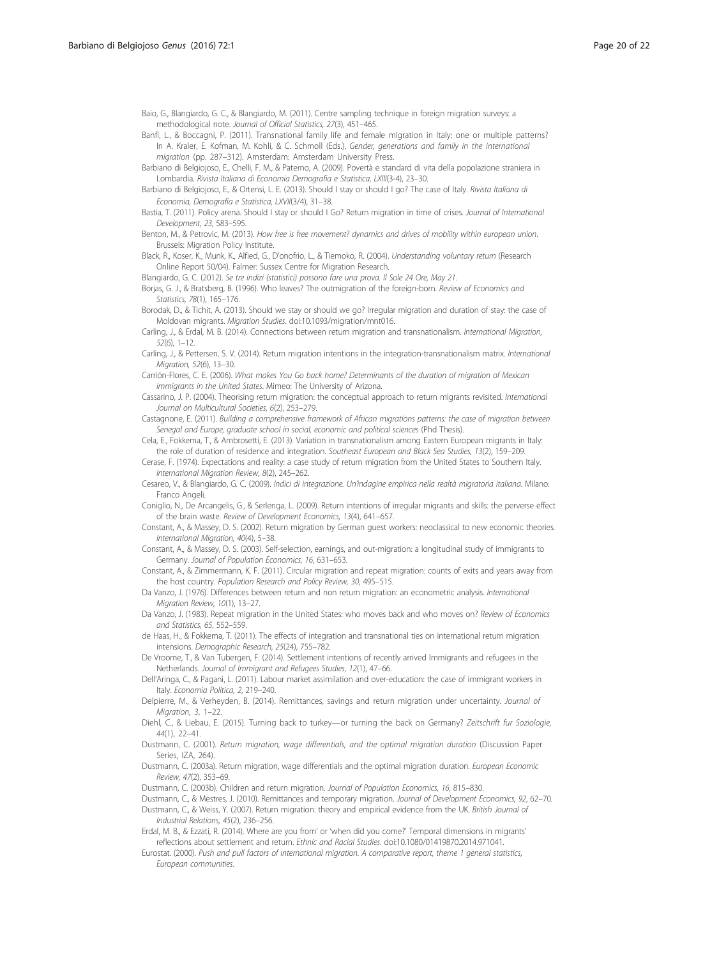<span id="page-19-0"></span>Baio, G., Blangiardo, G. C., & Blangiardo, M. (2011). Centre sampling technique in foreign migration surveys: a methodological note. Journal of Official Statistics, 27(3), 451–465.

- Banfi, L., & Boccagni, P. (2011). Transnational family life and female migration in Italy: one or multiple patterns? In A. Kraler, E. Kofman, M. Kohli, & C. Schmoll (Eds.), Gender, generations and family in the international migration (pp. 287–312). Amsterdam: Amsterdam University Press.
- Barbiano di Belgiojoso, E., Chelli, F. M., & Paterno, A. (2009). Povertà e standard di vita della popolazione straniera in Lombardia. Rivista Italiana di Economia Demografia e Statistica, LXIII(3-4), 23–30.
- Barbiano di Belgiojoso, E., & Ortensi, L. E. (2013). Should I stay or should I go? The case of Italy. Rivista Italiana di Economia, Demografia e Statistica, LXVII(3/4), 31–38.
- Bastia, T. (2011). Policy arena. Should I stay or should I Go? Return migration in time of crises. Journal of International Development, 23, 583–595.
- Benton, M., & Petrovic, M. (2013). How free is free movement? dynamics and drives of mobility within european union. Brussels: Migration Policy Institute.
- Black, R., Koser, K., Munk, K., Alfied, G., D'onofrio, L., & Tiemoko, R. (2004). Understanding voluntary return (Research Online Report 50/04). Falmer: Sussex Centre for Migration Research.
- Blangiardo, G. C. (2012). Se tre indizi (statistici) possono fare una prova. Il Sole 24 Ore, May 21.

Borjas, G. J., & Bratsberg, B. (1996). Who leaves? The outmigration of the foreign-born. Review of Economics and Statistics, 78(1), 165–176.

Borodak, D., & Tichit, A. (2013). Should we stay or should we go? Irregular migration and duration of stay: the case of Moldovan migrants. Migration Studies. doi:[10.1093/migration/mnt016](http://dx.doi.org/10.1093/migration/mnt016).

Carling, J., & Erdal, M. B. (2014). Connections between return migration and transnationalism. International Migration, 52(6), 1–12.

- Carling, J., & Pettersen, S. V. (2014). Return migration intentions in the integration-transnationalism matrix. International Migration, 52(6), 13–30.
- Carrión-Flores, C. E. (2006). What makes You Go back home? Determinants of the duration of migration of Mexican immigrants in the United States. Mimeo: The University of Arizona.

Cassarino, J. P. (2004). Theorising return migration: the conceptual approach to return migrants revisited. International Journal on Multicultural Societies, 6(2), 253–279.

Castagnone, E. (2011). Building a comprehensive framework of African migrations patterns: the case of migration between Senegal and Europe, graduate school in social, economic and political sciences (Phd Thesis).

Cela, E., Fokkema, T., & Ambrosetti, E. (2013). Variation in transnationalism among Eastern European migrants in Italy: the role of duration of residence and integration. Southeast European and Black Sea Studies, 13(2), 159–209.

Cerase, F. (1974). Expectations and reality: a case study of return migration from the United States to Southern Italy. International Migration Review, 8(2), 245–262.

- Cesareo, V., & Blangiardo, G. C. (2009). Indici di integrazione. Un'indagine empirica nella realtà migratoria italiana. Milano: Franco Angeli.
- Coniglio, N., De Arcangelis, G., & Serlenga, L. (2009). Return intentions of irregular migrants and skills: the perverse effect of the brain waste. Review of Development Economics, 13(4), 641–657.
- Constant, A., & Massey, D. S. (2002). Return migration by German guest workers: neoclassical to new economic theories. International Migration, 40(4), 5–38.

Constant, A., & Massey, D. S. (2003). Self-selection, earnings, and out-migration: a longitudinal study of immigrants to Germany. Journal of Population Economics, 16, 631–653.

Constant, A., & Zimmermann, K. F. (2011). Circular migration and repeat migration: counts of exits and years away from the host country. Population Research and Policy Review, 30, 495–515.

Da Vanzo, J. (1976). Differences between return and non return migration: an econometric analysis. International Migration Review, 10(1), 13–27.

Da Vanzo, J. (1983). Repeat migration in the United States: who moves back and who moves on? Review of Economics and Statistics, 65, 552–559.

de Haas, H., & Fokkema, T. (2011). The effects of integration and transnational ties on international return migration intensions. Demographic Research, 25(24), 755–782.

De Vroome, T., & Van Tubergen, F. (2014). Settlement intentions of recently arrived Immigrants and refugees in the Netherlands. Journal of Immigrant and Refugees Studies, 12(1), 47–66.

- Dell'Aringa, C., & Pagani, L. (2011). Labour market assimilation and over-education: the case of immigrant workers in Italy. Economia Politica, 2, 219–240.
- Delpierre, M., & Verheyden, B. (2014). Remittances, savings and return migration under uncertainty. Journal of Migration, 3, 1-22.
- Diehl, C., & Liebau, E. (2015). Turning back to turkey—or turning the back on Germany? Zeitschrift fur Soziologie, 44(1), 22–41.
- Dustmann, C. (2001). Return migration, wage differentials, and the optimal migration duration (Discussion Paper Series, IZA, 264).

Dustmann, C. (2003a). Return migration, wage differentials and the optimal migration duration. European Economic Review, 47(2), 353–69.

Dustmann, C. (2003b). Children and return migration. Journal of Population Economics, 16, 815–830.

Dustmann, C., & Mestres, J. (2010). Remittances and temporary migration. Journal of Development Economics, 92, 62–70.

Dustmann, C., & Weiss, Y. (2007). Return migration: theory and empirical evidence from the UK. British Journal of Industrial Relations, 45(2), 236–256.

Erdal, M. B., & Ezzati, R. (2014). Where are you from' or 'when did you come?' Temporal dimensions in migrants' reflections about settlement and return. Ethnic and Racial Studies. doi:[10.1080/01419870.2014.971041.](http://dx.doi.org/10.1080/01419870.2014.971041)

Eurostat. (2000). Push and pull factors of international migration. A comparative report, theme 1 general statistics, European communities.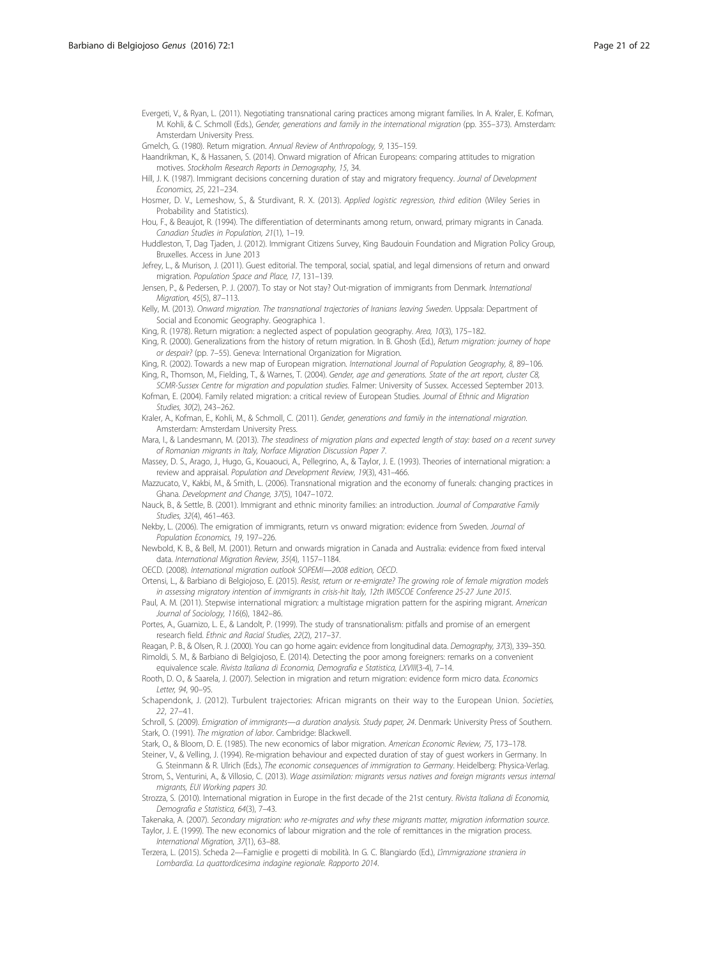<span id="page-20-0"></span>Evergeti, V., & Ryan, L. (2011). Negotiating transnational caring practices among migrant families. In A. Kraler, E. Kofman, M. Kohli, & C. Schmoll (Eds.), Gender, generations and family in the international migration (pp. 355–373). Amsterdam: Amsterdam University Press.

Gmelch, G. (1980). Return migration. Annual Review of Anthropology, 9, 135–159.

- Haandrikman, K., & Hassanen, S. (2014). Onward migration of African Europeans: comparing attitudes to migration motives. Stockholm Research Reports in Demography, 15, 34.
- Hill, J. K. (1987). Immigrant decisions concerning duration of stay and migratory frequency. Journal of Development Economics, 25, 221–234.
- Hosmer, D. V., Lemeshow, S., & Sturdivant, R. X. (2013). Applied logistic regression, third edition (Wiley Series in Probability and Statistics).
- Hou, F., & Beaujot, R. (1994). The differentiation of determinants among return, onward, primary migrants in Canada. Canadian Studies in Population, 21(1), 1–19.
- Huddleston, T, Dag Tjaden, J. (2012). Immigrant Citizens Survey, King Baudouin Foundation and Migration Policy Group, Bruxelles. Access in June 2013
- Jefrey, L., & Murison, J. (2011). Guest editorial. The temporal, social, spatial, and legal dimensions of return and onward migration. Population Space and Place, 17, 131–139.
- Jensen, P., & Pedersen, P. J. (2007). To stay or Not stay? Out-migration of immigrants from Denmark. International Migration, 45(5), 87–113.
- Kelly, M. (2013). Onward migration. The transnational trajectories of Iranians leaving Sweden. Uppsala: Department of Social and Economic Geography. Geographica 1.
- King, R. (1978). Return migration: a neglected aspect of population geography. Area, 10(3), 175-182.
- King, R. (2000). Generalizations from the history of return migration. In B. Ghosh (Ed.), Return migration: journey of hope or despair? (pp. 7–55). Geneva: International Organization for Migration.
- King, R. (2002). Towards a new map of European migration. International Journal of Population Geography, 8, 89-106. King, R., Thomson, M., Fielding, T., & Warnes, T. (2004). Gender, age and generations. State of the art report, cluster C8,
- SCMR-Sussex Centre for migration and population studies. Falmer: University of Sussex. Accessed September 2013. Kofman, E. (2004). Family related migration: a critical review of European Studies. Journal of Ethnic and Migration Studies, 30(2), 243-262.
- Kraler, A., Kofman, E., Kohli, M., & Schmoll, C. (2011). Gender, generations and family in the international migration. Amsterdam: Amsterdam University Press.
- Mara, I., & Landesmann, M. (2013). The steadiness of migration plans and expected length of stay: based on a recent survey of Romanian migrants in Italy, Norface Migration Discussion Paper 7.
- Massey, D. S., Arago, J., Hugo, G., Kouaouci, A., Pellegrino, A., & Taylor, J. E. (1993). Theories of international migration: a review and appraisal. Population and Development Review, 19(3), 431–466.
- Mazzucato, V., Kakbi, M., & Smith, L. (2006). Transnational migration and the economy of funerals: changing practices in Ghana. Development and Change, 37(5), 1047–1072.
- Nauck, B., & Settle, B. (2001). Immigrant and ethnic minority families: an introduction. Journal of Comparative Family Studies, 32(4), 461–463.
- Nekby, L. (2006). The emigration of immigrants, return vs onward migration: evidence from Sweden. Journal of Population Economics, 19, 197–226.
- Newbold, K. B., & Bell, M. (2001). Return and onwards migration in Canada and Australia: evidence from fixed interval data. International Migration Review, 35(4), 1157–1184.

OECD. (2008). International migration outlook SOPEMI—2008 edition, OECD.

- Ortensi, L., & Barbiano di Belgiojoso, E. (2015). Resist, return or re-emigrate? The growing role of female migration models in assessing migratory intention of immigrants in crisis-hit Italy, 12th IMISCOE Conference 25-27 June 2015.
- Paul, A. M. (2011). Stepwise international migration: a multistage migration pattern for the aspiring migrant. American Journal of Sociology, 116(6), 1842–86.
- Portes, A., Guarnizo, L. E., & Landolt, P. (1999). The study of transnationalism: pitfalls and promise of an emergent research field. Ethnic and Racial Studies, 22(2), 217–37.

Reagan, P. B., & Olsen, R. J. (2000). You can go home again: evidence from longitudinal data. Demography, 37(3), 339–350. Rimoldi, S. M., & Barbiano di Belgiojoso, E. (2014). Detecting the poor among foreigners: remarks on a convenient equivalence scale. Rivista Italiana di Economia, Demografia e Statistica, LXVIII(3-4), 7–14.

Rooth, D. O., & Saarela, J. (2007). Selection in migration and return migration: evidence form micro data. Economics Letter, 94, 90–95.

Schapendonk, J. (2012). Turbulent trajectories: African migrants on their way to the European Union. Societies, 22, 27–41.

Schroll, S. (2009). Emigration of immigrants-a duration analysis. Study paper, 24. Denmark: University Press of Southern. Stark, O. (1991). The migration of labor. Cambridge: Blackwell.

- Stark, O., & Bloom, D. E. (1985). The new economics of labor migration. American Economic Review, 75, 173–178.
- Steiner, V., & Velling, J. (1994). Re-migration behaviour and expected duration of stay of guest workers in Germany. In
- G. Steinmann & R. Ulrich (Eds.), The economic consequences of immigration to Germany. Heidelberg: Physica-Verlag. Strom, S., Venturini, A., & Villosio, C. (2013). Wage assimilation: migrants versus natives and foreign migrants versus internal migrants, EUI Working papers 30.
- Strozza, S. (2010). International migration in Europe in the first decade of the 21st century. Rivista Italiana di Economia, Demografia e Statistica, 64(3), 7–43.

Takenaka, A. (2007). Secondary migration: who re-migrates and why these migrants matter, migration information source. Taylor, J. E. (1999). The new economics of labour migration and the role of remittances in the migration process. International Migration, 37(1), 63–88.

Terzera, L. (2015). Scheda 2—Famiglie e progetti di mobilità. In G. C. Blangiardo (Ed.), L'immigrazione straniera in Lombardia. La quattordicesima indagine regionale. Rapporto 2014.